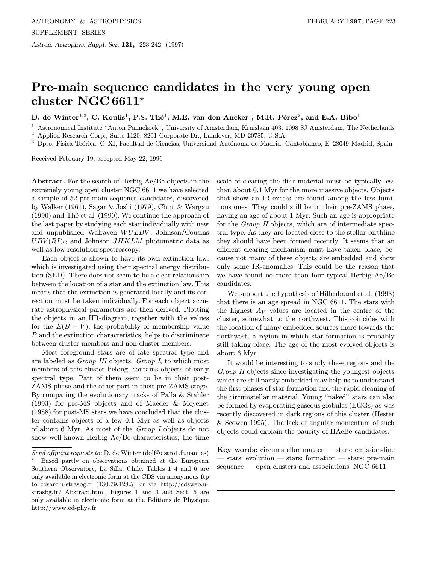Astron. Astrophys. Suppl. Ser. 121, 223-242 (1997)

# Pre-main sequence candidates in the very young open cluster NGC 6611\*

D. de Winter<sup>1,3</sup>, C. Koulis<sup>1</sup>, P.S. Thé<sup>1</sup>, M.E. van den Ancker<sup>1</sup>, M.R. Pérez<sup>2</sup>, and E.A. Bibo<sup>1</sup>

<sup>1</sup> Astronomical Institute "Anton Pannekoek", University of Amsterdam, Kruislaan 403, 1098 SJ Amsterdam, The Netherlands <sup>2</sup> Applied Research Corp., Suite 1120, 8201 Corporate Dr., Landover, MD 20785, U.S.A.

 $3$  Dpto. Física Teórica, C–XI, Facultad de Ciencias, Universidad Autónoma de Madrid, Cantoblanco, E–28049 Madrid, Spain

Received February 19; accepted May 22, 1996

Abstract. For the search of Herbig Ae/Be objects in the extremely young open cluster NGC 6611 we have selected a sample of 52 pre-main sequence candidates, discovered by Walker (1961), Sagar & Joshi (1979), Chini & Wargau  $(1990)$  and Thé et al.  $(1990)$ . We continue the approach of the last paper by studying each star individually with new and unpublished Walraven  $WULBV$ , Johnson/Cousins  $UBV(RI)_{\text{C}}$  and Johnson JHKLM photometric data as well as low resolution spectroscopy.

Each object is shown to have its own extinction law, which is investigated using their spectral energy distribution (SED). There does not seem to be a clear relationship between the location of a star and the extinction law. This means that the extinction is generated locally and its correction must be taken individually. For each object accurate astrophysical parameters are then derived. Plotting the objects in an HR-diagram, together with the values for the  $E(B - V)$ , the probability of membership value P and the extinction characteristics, helps to discriminate between cluster members and non-cluster members.

Most foreground stars are of late spectral type and are labeled as Group III objects. Group I, to which most members of this cluster belong, contains objects of early spectral type. Part of them seem to be in their post-ZAMS phase and the other part in their pre-ZAMS stage. By comparing the evolutionary tracks of Palla & Stahler (1993) for pre-MS objects and of Maeder & Meyenet (1988) for post-MS stars we have concluded that the cluster contains objects of a few 0.1 Myr as well as objects of about 6 Myr. As most of the Group I objects do not show well-known Herbig Ae/Be characteristics, the time

Send offprint requests to: D. de Winter (dolf@astro1.ft.uam.es)

scale of clearing the disk material must be typically less than about 0.1 Myr for the more massive objects. Objects that show an IR-excess are found among the less luminous ones. They could still be in their pre-ZAMS phase, having an age of about 1 Myr. Such an age is appropriate for the Group II objects, which are of intermediate spectral type. As they are located close to the stellar birthline they should have been formed recently. It seems that an efficient clearing mechanism must have taken place, because not many of these objects are embedded and show only some IR-anomalies. This could be the reason that we have found no more than four typical Herbig Ae/Be candidates.

We support the hypothesis of Hillenbrand et al. (1993) that there is an age spread in NGC 6611. The stars with the highest  $A_V$  values are located in the centre of the cluster, somewhat to the northwest. This coincides with the location of many embedded sources more towards the northwest, a region in which star-formation is probably still taking place. The age of the most evolved objects is about 6 Myr.

It would be interesting to study these regions and the Group II objects since investigating the youngest objects which are still partly embedded may help us to understand the first phases of star formation and the rapid cleaning of the circumstellar material. Young "naked" stars can also be formed by evaporating gaseous globules (EGGs) as was recently discovered in dark regions of this cluster (Hester & Scowen 1995). The lack of angular momentum of such objects could explain the paucity of HAeBe candidates.

Key words: circumstellar matter  $-$  stars: emission-line — stars: evolution — stars: formation — stars: pre-main sequence — open clusters and associations: NGC 6611

Based partly on observations obtained at the European Southern Observatory, La Silla, Chile. Tables 1–4 and 6 are only available in electronic form at the CDS via anonymous ftp to cdsarc.u-strasbg.fr (130.79.128.5) or via http://cdsweb.ustrasbg.fr/ Abstract.html. Figures 1 and 3 and Sect. 5 are only available in electronic form at the Editions de Physique http://www.ed-phys.fr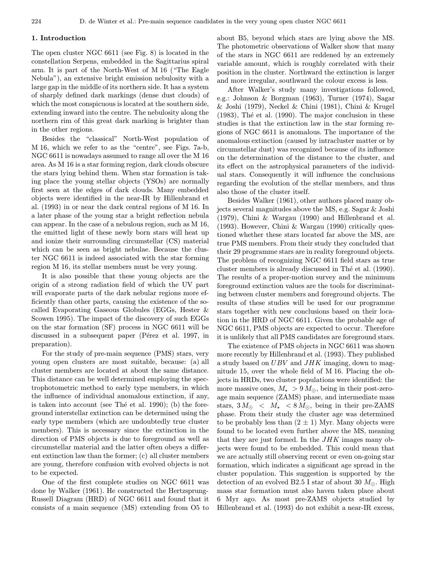#### 1. Introduction

The open cluster NGC 6611 (see Fig. 8) is located in the constellation Serpens, embedded in the Sagittarius spiral arm. It is part of the North-West of M 16 ("The Eagle Nebula"), an extensive bright emission nebulosity with a large gap in the middle of its northern side. It has a system of sharply defined dark markings (dense dust clouds) of which the most conspicuous is located at the southern side, extending inward into the centre. The nebulosity along the northern rim of this great dark marking is brighter than in the other regions.

Besides the "classical" North-West population of M 16, which we refer to as the "centre", see Figs. 7a-b, NGC 6611 is nowadays assumed to range all over the M 16 area. As M 16 is a star forming region, dark clouds obscure the stars lying behind them. When star formation is taking place the young stellar objects (YSOs) are normally first seen at the edges of dark clouds. Many embedded objects were identified in the near-IR by Hillenbrand et al. (1993) in or near the dark central regions of M 16. In a later phase of the young star a bright reflection nebula can appear. In the case of a nebulous region, such as M 16, the emitted light of these newly born stars will heat up and ionize their surrounding circumstellar (CS) material which can be seen as bright nebulae. Because the cluster NGC 6611 is indeed associated with the star forming region M 16, its stellar members must be very young.

It is also possible that these young objects are the origin of a strong radiation field of which the UV part will evaporate parts of the dark nebular regions more efficiently than other parts, causing the existence of the socalled Evaporating Gaseous Globules (EGGs, Hester & Scowen 1995). The impact of the discovery of such EGGs on the star formation (SF) process in NGC 6611 will be discussed in a subsequent paper (Pérez et al. 1997, in preparation).

For the study of pre-main sequence (PMS) stars, very young open clusters are most suitable, because: (a) all cluster members are located at about the same distance. This distance can be well determined employing the spectrophotometric method to early type members, in which the influence of individual anomalous extinction, if any, is taken into account (see The et al. 1990); (b) the foreground interstellar extinction can be determined using the early type members (which are undoubtedly true cluster members). This is necessary since the extinction in the direction of PMS objects is due to foreground as well as circumstellar material and the latter often obeys a different extinction law than the former; (c) all cluster members are young, therefore confusion with evolved objects is not to be expected.

One of the first complete studies on NGC 6611 was done by Walker (1961). He constructed the Hertzsprung-Russell Diagram (HRD) of NGC 6611 and found that it consists of a main sequence (MS) extending from O5 to

about B5, beyond which stars are lying above the MS. The photometric observations of Walker show that many of the stars in NGC 6611 are reddened by an extremely variable amount, which is roughly correlated with their position in the cluster. Northward the extinction is larger and more irregular, southward the colour excess is less.

After Walker's study many investigations followed, e.g.: Johnson & Borgman (1963), Turner (1974), Sagar & Joshi (1979), Neckel & Chini (1981), Chini & Krugel  $(1983)$ , Thé et al.  $(1990)$ . The major conclusion in these studies is that the extinction law in the star forming regions of NGC 6611 is anomalous. The importance of the anomalous extinction (caused by intracluster matter or by circumstellar dust) was recognized because of its influence on the determination of the distance to the cluster, and its effect on the astrophysical parameters of the individual stars. Consequently it will influence the conclusions regarding the evolution of the stellar members, and thus also those of the cluster itself.

Besides Walker (1961), other authors placed many objects several magnitudes above the MS, e.g. Sagar & Joshi (1979), Chini & Wargau (1990) and Hillenbrand et al. (1993). However, Chini & Wargau (1990) critically questioned whether these stars located far above the MS, are true PMS members. From their study they concluded that their 29 programme stars are in reality foreground objects. The problem of recognizing NGC 6611 field stars as true cluster members is already discussed in Thé et al. (1990). The results of a proper-motion survey and the minimum foreground extinction values are the tools for discriminating between cluster members and foreground objects. The results of these studies will be used for our programme stars together with new conclusions based on their location in the HRD of NGC 6611. Given the probable age of NGC 6611, PMS objects are expected to occur. Therefore it is unlikely that all PMS candidates are foreground stars.

The existence of PMS objects in NGC 6611 was shown more recently by Hillenbrand et al. (1993). They published a study based on  $UBV$  and  $JHK$  imaging, down to magnitude 15, over the whole field of M 16. Placing the objects in HRDs, two cluster populations were identified: the more massive ones,  $M_{\star} > 9 M_{\odot}$ , being in their post-zeroage main sequence (ZAMS) phase, and intermediate mass stars,  $3 M_{\odot} \, < M_{\star} \, < 8 M_{\odot}$ , being in their pre-ZAMS phase. From their study the cluster age was determined to be probably less than  $(2 \pm 1)$  Myr. Many objects were found to be located even further above the MS, meaning that they are just formed. In the  $JHK$  images many objects were found to be embedded. This could mean that we are actually still observing recent or even on-going star formation, which indicates a significant age spread in the cluster population. This suggestion is supported by the detection of an evolved B2.5 I star of about 30  $M_{\odot}$ . High mass star formation must also haven taken place about 6 Myr ago. As most pre-ZAMS objects studied by Hillenbrand et al. (1993) do not exhibit a near-IR excess,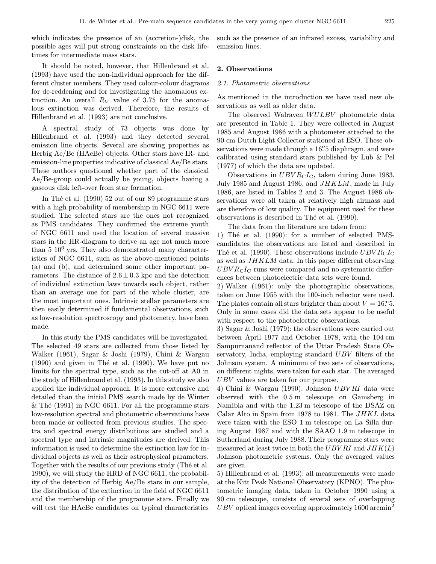which indicates the presence of an (accretion-)disk, the possible ages will put strong constraints on the disk lifetimes for intermediate mass stars.

It should be noted, however, that Hillenbrand et al. (1993) have used the non-individual approach for the different cluster members. They used colour-colour diagrams for de-reddening and for investigating the anomalous extinction. An overall  $R_V$  value of 3.75 for the anomalous extinction was derived. Therefore, the results of Hillenbrand et al. (1993) are not conclusive.

A spectral study of 73 objects was done by Hillenbrand et al. (1993) and they detected several emission line objects. Several are showing properties as Herbig Ae/Be (HAeBe) objects. Other stars have IR- and emission-line properties indicative of classical Ae/Be stars. These authors questioned whether part of the classical Ae/Be-group could actually be young, objects having a gaseous disk left-over from star formation.

In Thé et al.  $(1990)$  52 out of our 89 programme stars with a high probability of membership in NGC 6611 were studied. The selected stars are the ones not recognized as PMS candidates. They confirmed the extreme youth of NGC 6611 and used the location of several massive stars in the HR-diagram to derive an age not much more than  $5 \times 10^6$  yrs. They also demonstrated many characteristics of NGC 6611, such as the above-mentioned points (a) and (b), and determined some other important parameters. The distance of  $2.6 \pm 0.3$  kpc and the detection of individual extinction laws towards each object, rather than an average one for part of the whole cluster, are the most important ones. Intrinsic stellar parameters are then easily determined if fundamental observations, such as low-resolution spectroscopy and photometry, have been made.

In this study the PMS candidates will be investigated. The selected 49 stars are collected from those listed by Walker (1961), Sagar & Joshi (1979), Chini & Wargau  $(1990)$  and given in Thé et al.  $(1990)$ . We have put no limits for the spectral type, such as the cut-off at A0 in the study of Hillenbrand et al. (1993). In this study we also applied the individual approach. It is more extensive and detailed than the initial PMS search made by de Winter  $\&$  Thé (1991) in NGC 6611. For all the programme stars low-resolution spectral and photometric observations have been made or collected from previous studies. The spectra and spectral energy distributions are studied and a spectral type and intrinsic magnitudes are derived. This information is used to determine the extinction law for individual objects as well as their astrophysical parameters. Together with the results of our previous study (The et al. 1990), we will study the HRD of NGC 6611, the probability of the detection of Herbig Ae/Be stars in our sample, the distribution of the extinction in the field of NGC 6611 and the membership of the programme stars. Finally we will test the HAeBe candidates on typical characteristics such as the presence of an infrared excess, variability and emission lines.

## 2. Observations

## 2.1. Photometric observations

As mentioned in the introduction we have used new observations as well as older data.

The observed Walraven WULBV photometric data are presented in Table 1. They were collected in August 1985 and August 1986 with a photometer attached to the 90 cm Dutch Light Collector stationed at ESO. These observations were made through a 16". Si diaphragm, and were calibrated using standard stars published by Lub & Pel (1977) of which the data are updated.

Observations in  $UBVR<sub>C</sub>I<sub>C</sub>$ , taken during June 1983, July 1985 and August 1986, and  $JHKLM$ , made in July 1986, are listed in Tables 2 and 3. The August 1986 observations were all taken at relatively high airmass and are therefore of low quality. The equipment used for these observations is described in Thé et al. (1990).

The data from the literature are taken from: 1) Thé et al. (1990): for a number of selected PMScandidates the observations are listed and described in The et al. (1990). These observations include  $UBVR<sub>CIC</sub>$ as well as JHKLM data. In this paper different observing  $UBVR<sub>C</sub>I<sub>C</sub>$  runs were compared and no systematic differences between photoelectric data sets were found.

2) Walker (1961): only the photographic observations, taken on June 1955 with the 100-inch reflector were used. The plates contain all stars brighter than about  $V = 16.$ <sup>m</sup>. Only in some cases did the data sets appear to be useful with respect to the photoelectric observations.

3) Sagar & Joshi (1979): the observations were carried out between April 1977 and October 1978, with the 104 cm Sampurnanand reflector of the Uttar Pradesh State Observatory, India, employing standard UBV filters of the Johnson system. A minimum of two sets of observations, on different nights, were taken for each star. The averaged UBV values are taken for our purpose.

4) Chini & Wargau (1990): Johnson UBV RI data were observed with the 0.5 m telescope on Gamsberg in Namibia and with the 1.23 m telescope of the DSAZ on Calar Alto in Spain from 1978 to 1981. The JHKL data were taken with the ESO 1 m telescope on La Silla during August 1987 and with the SAAO 1.9 m telescope in Sutherland during July 1988. Their programme stars were measured at least twice in both the UBV RI and  $JHK(L)$ Johnson photometric systems. Only the averaged values are given.

5) Hillenbrand et al. (1993): all measurements were made at the Kitt Peak National Observatory (KPNO). The photometric imaging data, taken in October 1990 using a 90 cm telescope, consists of several sets of overlapping  $UBV$  optical images covering approximately 1600 arcmin<sup>2</sup>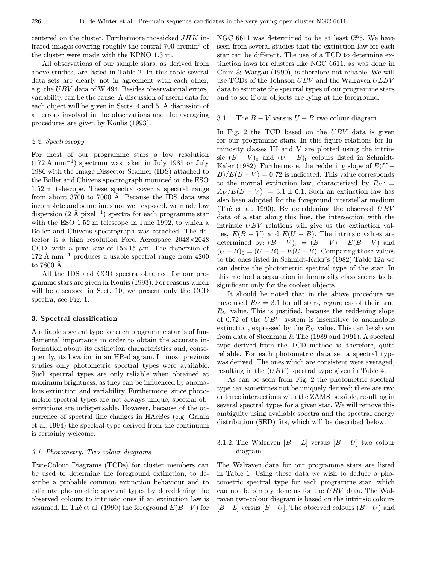centered on the cluster. Furthermore mosaicked JHK infrared images covering roughly the central 700 arcmin<sup>2</sup> of the cluster were made with the KPNO 1.3 m.

All observations of our sample stars, as derived from above studies, are listed in Table 2. In this table several data sets are clearly not in agreement with each other, e.g. the UBV data of W 494. Besides observational errors, variability can be the cause. A discussion of useful data for each object will be given in Sects. 4 and 5. A discussion of all errors involved in the observations and the averaging procedures are given by Koulis (1993).

# 2.2. Spectroscopy

For most of our programme stars a low resolution  $(172 \text{ Å mm}^{-1})$  spectrum was taken in July 1985 or July 1986 with the Image Dissector Scanner (IDS) attached to the Boller and Chivens spectrograph mounted on the ESO 1.52 m telescope. These spectra cover a spectral range from about 3700 to 7000 Å. Because the IDS data was incomplete and sometimes not well exposed, we made low dispersion  $(2 \text{ Å pixel}^{-1})$  spectra for each programme star with the ESO 1.52 m telescope in June 1992, to which a Boller and Chivens spectrograph was attached. The detector is a high resolution Ford Aerospace 2048×2048 CCD, with a pixel size of  $15\times15 \mu$ m. The dispersion of  $172 \text{ Å mm}^{-1}$  produces a usable spectral range from 4200 to  $7800$  Å.

All the IDS and CCD spectra obtained for our programme stars are given in Koulis (1993). For reasons which will be discussed in Sect. 10, we present only the CCD spectra, see Fig. 1.

#### 3. Spectral classification

A reliable spectral type for each programme star is of fundamental importance in order to obtain the accurate information about its extinction characteristics and, consequently, its location in an HR-diagram. In most previous studies only photometric spectral types were available. Such spectral types are only reliable when obtained at maximum brightness, as they can be influenced by anomalous extinction and variability. Furthermore, since photometric spectral types are not always unique, spectral observations are indispensable. However, because of the occurrence of spectral line changes in HAeBes (e.g. Grinin et al. 1994) the spectral type derived from the continuum is certainly welcome.

#### 3.1. Photometry: Two colour diagrams

Two-Colour Diagrams (TCDs) for cluster members can be used to determine the foreground extinction, to describe a probable common extinction behaviour and to estimate photometric spectral types by dereddening the observed colours to intrinsic ones if an extinction law is assumed. In Thé et al. (1990) the foreground  $E(B-V)$  for

NGC 6611 was determined to be at least  $0<sup>m</sup>5$ . We have seen from several studies that the extinction law for each star can be different. The use of a TCD to determine extinction laws for clusters like NGC 6611, as was done in Chini & Wargau (1990), is therefore not reliable. We will use TCDs of the Johnson UBV and the Walraven ULBV data to estimate the spectral types of our programme stars and to see if our objects are lying at the foreground.

#### 3.1.1. The  $B - V$  versus  $U - B$  two colour diagram

In Fig. 2 the TCD based on the  $UBV$  data is given for our programme stars. In this figure relations for luminosity classes III and V are plotted using the intrinsic  $(B - V)_0$  and  $(U - B)_0$  colours listed in Schmidt-Kaler (1982). Furthermore, the reddening slope of  $E(U B/E(B-V) = 0.72$  is indicated. This value corresponds to the normal extinction law, characterized by  $R_V$ : =  $A_V/E(B-V) = 3.1 \pm 0.1$ . Such an extinction law has also been adopted for the foreground interstellar medium (Thé et al. 1990). By dereddening the observed  $UBV$ data of a star along this line, the intersection with the intrinsic UBV relations will give us the extinction values,  $E(B - V)$  and  $E(U - B)$ . The intrinsic values are determined by:  $(B - V)_0 = (B - V) - E(B - V)$  and  $(U - B)_0 = (U - B) - E(U - B)$ . Comparing those values to the ones listed in Schmidt-Kaler's (1982) Table 12a we can derive the photometric spectral type of the star. In this method a separation in luminosity class seems to be significant only for the coolest objects.

It should be noted that in the above procedure we have used  $R_V = 3.1$  for all stars, regardless of their true  $R_V$  value. This is justified, because the reddening slope of 0.72 of the UBV system is insensitive to anomalous extinction, expressed by the  $R_V$  value. This can be shown from data of Steenman  $&$  Thé (1989 and 1991). A spectral type derived from the TCD method is, therefore, quite reliable. For each photometric data set a spectral type was derived. The ones which are consistent were averaged, resulting in the  $\langle UBV \rangle$  spectral type given in Table 4.

As can be seen from Fig. 2 the photometric spectral type can sometimes not be uniquely derived; there are two or three intersections with the ZAMS possible, resulting in several spectral types for a given star. We will remove this ambiguity using available spectra and the spectral energy distribution (SED) fits, which will be described below.

## 3.1.2. The Walraven  $[B - L]$  versus  $[B - U]$  two colour diagram

The Walraven data for our programme stars are listed in Table 1. Using these data we wish to deduce a photometric spectral type for each programme star, which can not be simply done as for the UBV data. The Walraven two-colour diagram is based on the intrinsic colours  $[B - L]$  versus  $[B - U]$ . The observed colours  $(B - U)$  and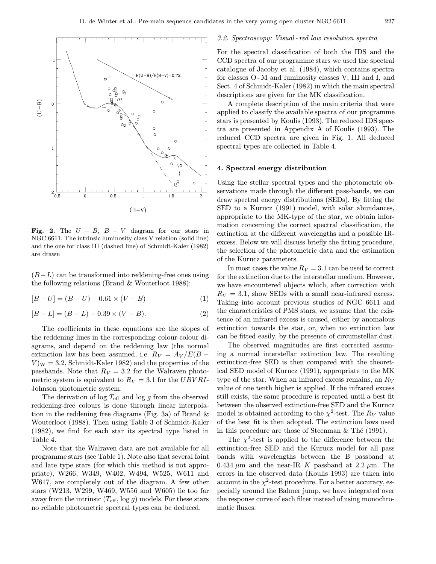

Fig. 2. The  $U - B$ ,  $B - V$  diagram for our stars in NGC 6611. The intrinsic luminosity class V relation (solid line) and the one for class III (dashed line) of Schmidt-Kaler (1982) are drawn

 $(B-L)$  can be transformed into reddening-free ones using the following relations (Brand & Wouterloot 1988):

 $[B-U] = (B-U) - 0.61 \times (V-B)$  (1)

 $[B - L] = (B - L) - 0.39 \times (V - B).$  (2)

The coefficients in these equations are the slopes of the reddening lines in the corresponding colour-colour diagrams, and depend on the reddening law (the normal extinction law has been assumed, i.e.  $R_V = A_V / E(B V$ <sub>W</sub> = 3.2, Schmidt-Kaler 1982) and the properties of the passbands. Note that  $R_V = 3.2$  for the Walraven photometric system is equivalent to  $R_V = 3.1$  for the UBV RI-Johnson photometric system.

The derivation of log  $T_{\text{eff}}$  and log g from the observed reddening-free colours is done through linear interpolation in the reddening free diagrams (Fig. 3a) of Brand  $\&$ Wouterloot (1988). Then using Table 3 of Schmidt-Kaler (1982), we find for each star its spectral type listed in Table 4.

Note that the Walraven data are not available for all programme stars (see Table 1). Note also that several faint and late type stars (for which this method is not appropriate), W266, W349, W402, W494, W525, W611 and W617, are completely out of the diagram. A few other stars (W213, W299, W469, W556 and W605) lie too far away from the intrinsic  $(T_{\text{eff}}$ ,  $\log g)$  models. For these stars no reliable photometric spectral types can be deduced.

#### 3.2. Spectroscopy: Visual - red low resolution spectra

For the spectral classification of both the IDS and the CCD spectra of our programme stars we used the spectral catalogue of Jacoby et al. (1984), which contains spectra for classes O- M and luminosity classes V, III and I, and Sect. 4 of Schmidt-Kaler (1982) in which the main spectral descriptions are given for the MK classification.

A complete description of the main criteria that were applied to classify the available spectra of our programme stars is presented by Koulis (1993). The reduced IDS spectra are presented in Appendix A of Koulis (1993). The reduced CCD spectra are given in Fig. 1. All deduced spectral types are collected in Table 4.

## 4. Spectral energy distribution

Using the stellar spectral types and the photometric observations made through the different pass-bands, we can draw spectral energy distributions (SEDs). By fitting the SED to a Kurucz (1991) model, with solar abundances, appropriate to the MK-type of the star, we obtain information concerning the correct spectral classification, the extinction at the different wavelengths and a possible IRexcess. Below we will discuss briefly the fitting procedure, the selection of the photometric data and the estimation of the Kurucz parameters.

In most cases the value  $R_V = 3.1$  can be used to correct for the extinction due to the interstellar medium. However, we have encountered objects which, after correction with  $R_V = 3.1$ , show SEDs with a small near-infrared excess. Taking into account previous studies of NGC 6611 and the characteristics of PMS stars, we assume that the existence of an infrared excess is caused, either by anomalous extinction towards the star, or, when no extinction law can be fitted easily, by the presence of circumstellar dust.

The observed magnitudes are first corrected assuming a normal interstellar extinction law. The resulting extinction-free SED is then compared with the theoretical SED model of Kurucz (1991), appropriate to the MK type of the star. When an infrared excess remains, an  $R_V$ value of one tenth higher is applied. If the infrared excess still exists, the same procedure is repeated until a best fit between the observed extinction-free SED and the Kurucz model is obtained according to the  $\chi^2$ -test. The  $R_V$  value of the best fit is then adopted. The extinction laws used in this procedure are those of Steenman  $&$  Thé (1991).

The  $\chi^2$ -test is applied to the difference between the extinction-free SED and the Kurucz model for all pass bands with wavelengths between the B passband at 0.434  $\mu$ m and the near-IR K passband at 2.2  $\mu$ m. The errors in the observed data (Koulis 1993) are taken into account in the  $\chi^2$ -test procedure. For a better accuracy, especially around the Balmer jump, we have integrated over the response curve of each filter instead of using monochromatic fluxes.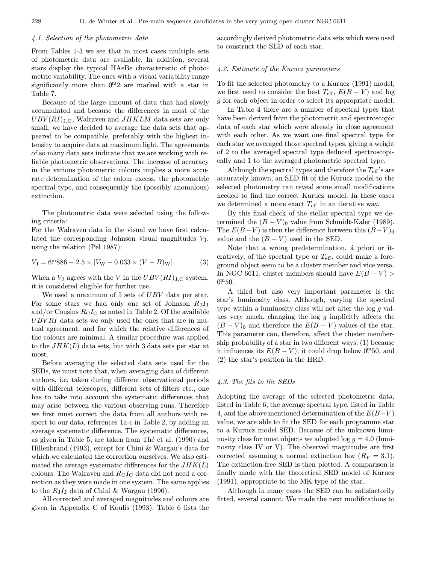# 4.1. Selection of the photometric data

From Tables 1-3 we see that in most cases multiple sets of photometric data are available. In addition, several stars display the typical HAeBe characteristic of photometric variability. The ones with a visual variability range significantly more than  $0<sup>m</sup>2$  are marked with a star in Table 7.

Because of the large amount of data that had slowly accumulated and because the differences in most of the  $UBV(RI)_{J,C}$ , Walraven and  $JHKLM$  data sets are only small, we have decided to average the data sets that appeared to be compatible, preferably with the highest intensity to acquire data at maximum light. The agreements of so many data sets indicate that we are working with reliable photometric observations. The increase of accuracy in the various photometric colours implies a more accurate determination of the colour excess, the photometric spectral type, and consequently the (possibly anomalous) extinction.

The photometric data were selected using the following criteria:

For the Walraven data in the visual we have first calculated the corresponding Johnson visual magnitudes  $V_J$ , using the relation (Pel 1987):

$$
V_{\rm J} = 6^{\rm m}886 - 2.5 \times [V_{\rm W} + 0.033 \times (V - B)_{\rm W}]. \tag{3}
$$

When a  $V_J$  agrees with the V in the  $UBV(RI)_{J,C}$  system, it is considered eligible for further use.

We used a maximum of 5 sets of UBV data per star. For some stars we had only one set of Johnson  $R_J I_J$ and/or Cousins  $R_{\rm C}I_{\rm C}$  as noted in Table 2. Of the available  $UBVRI$  data sets we only used the ones that are in mutual agreement, and for which the relative differences of the colours are minimal. A similar procedure was applied to the  $JHK(L)$  data sets, but with 3 data sets per star at most.

Before averaging the selected data sets used for the SEDs, we must note that, when averaging data of different authors, i.e. taken during different observational periods with different telescopes, different sets of filters etc., one has to take into account the systematic differences that may arise between the various observing runs. Therefore we first must correct the data from all authors with respect to our data, references 1a-c in Table 2, by adding an average systematic difference. The systematic differences, as given in Table 5, are taken from The et al. (1990) and Hillenbrand (1993), except for Chini & Wargau's data for which we calculated the correction ourselves. We also estimated the average systematic differences for the  $JHK(L)$ colours. The Walraven and  $R_{\rm C}I_{\rm C}$  data did not need a correction as they were made in one system. The same applies to the  $R_1I_1$  data of Chini & Wargau (1990).

All corrected and averaged magnitudes and colours are given in Appendix C of Koulis (1993). Table 6 lists the

accordingly derived photometric data sets which were used to construct the SED of each star.

## 4.2. Estimate of the Kurucz parameters

To fit the selected photometry to a Kurucz (1991) model, we first need to consider the best  $T_{\text{eff}}$ ,  $E(B-V)$  and log g for each object in order to select its appropriate model.

In Table 4 there are a number of spectral types that have been derived from the photometric and spectroscopic data of each star which were already in close agreement with each other. As we want one final spectral type for each star we averaged those spectral types, giving a weight of 2 to the averaged spectral type deduced spectroscopically and 1 to the averaged photometric spectral type.

Although the spectral types and therefore the  $T_{\text{eff}}$ 's are accurately known, an SED fit of the Kurucz model to the selected photometry can reveal some small modifications needed to find the correct Kurucz model. In these cases we determined a more exact  $T_{\text{eff}}$  in an iterative way.

By this final check of the stellar spectral type we determined the  $(B - V)_0$  value from Schmidt-Kaler (1989). The  $E(B-V)$  is then the difference between this  $(B-V)_0$ value and the  $(B - V)$  used in the SED.

Note that a wrong predetermination, á priori or iteratively, of the spectral type or  $T_{\text{eff}}$ , could make a foreground object seem to be a cluster member and vice versa. In NGC 6611, cluster members should have  $E(B-V)$  $0.0150$ .

A third but also very important parameter is the star's luminosity class. Although, varying the spectral type within a luminosity class will not alter the log g values very much, changing the  $log\ g$  implicitly affects the  $(B - V)$ <sup>0</sup> and therefore the  $E(B - V)$  values of the star. This parameter can, therefore, affect the cluster membership probability of a star in two different ways: (1) because it influences its  $E(B-V)$ , it could drop below 0<sup>m</sup>50, and (2) the star's position in the HRD.

## 4.3. The fits to the SEDs

Adopting the average of the selected photometric data, listed in Table 6, the average spectral type, listed in Table 4, and the above mentioned determination of the  $E(B-V)$ value, we are able to fit the SED for each programme star to a Kurucz model SED. Because of the unknown luminosity class for most objects we adopted  $log\ g = 4.0$  (luminosity class IV or V). The observed magnitudes are first corrected assuming a normal extinction law  $(R_V = 3.1)$ . The extinction-free SED is then plotted. A comparison is finally made with the theoretical SED model of Kurucz (1991), appropriate to the MK type of the star.

Although in many cases the SED can be satisfactorily fitted, several cannot. We made the next modifications to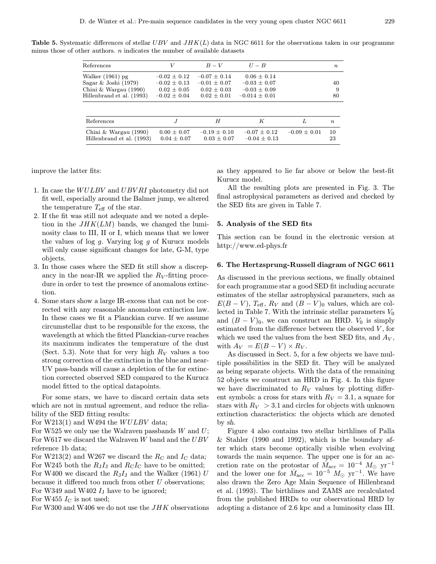**Table 5.** Systematic differences of stellar  $UBV$  and  $JHK(L)$  data in NGC 6611 for the observations taken in our programme minus those of other authors.  $n$  indicates the number of available datasets

| V                | $B-V$            | $U - B$           |   | $\boldsymbol{n}$ |
|------------------|------------------|-------------------|---|------------------|
| $-0.02 \pm 0.12$ | $-0.07 \pm 0.14$ | $0.06 + 0.14$     |   |                  |
| $-0.02 \pm 0.13$ | $-0.01 \pm 0.07$ | $-0.03 \pm 0.07$  |   | 40               |
| $0.02 \pm 0.05$  | $0.02 + 0.03$    | $-0.03 + 0.09$    |   | 9                |
| $-0.02 \pm 0.04$ | $0.02 \pm 0.01$  | $-0.014 \pm 0.01$ |   | 80               |
|                  |                  |                   |   |                  |
|                  |                  |                   |   |                  |
| $\cdot$ T        | H                | K                 | L | $\boldsymbol{n}$ |
|                  |                  |                   |   |                  |

improve the latter fits:

- 1. In case the WULBV and UBV RI photometry did not fit well, especially around the Balmer jump, we altered the temperature  $T_{\text{eff}}$  of the star.
- 2. If the fit was still not adequate and we noted a depletion in the  $JHK(LM)$  bands, we changed the luminosity class to III, II or I, which means that we lower the values of log  $g$ . Varying log  $g$  of Kurucz models will only cause significant changes for late, G-M, type objects.
- 3. In those cases where the SED fit still show a discrepancy in the near-IR we applied the  $R_V$ -fitting procedure in order to test the presence of anomalous extinction.
- 4. Some stars show a large IR-excess that can not be corrected with any reasonable anomalous extinction law. In these cases we fit a Planckian curve. If we assume circumstellar dust to be responsible for the excess, the wavelength at which the fitted Planckian-curve reaches its maximum indicates the temperature of the dust (Sect. 5.3). Note that for very high  $R_V$  values a too strong correction of the extinction in the blue and near-UV pass-bands will cause a depletion of the for extinction corrected observed SED compared to the Kurucz model fitted to the optical datapoints.

For some stars, we have to discard certain data sets which are not in mutual agreement, and reduce the reliability of the SED fitting results:

For W213(1) and W494 the *WULBV* data;

For W525 we only use the Walraven passbands  $W$  and  $U$ ; For W617 we discard the Walraven  $W$  band and the  $UBV$ reference 1b data;

For W213(2) and W267 we discard the  $R_{\rm C}$  and  $I_{\rm C}$  data; For W245 both the  $R_J I_J$  and  $R_C I_C$  have to be omitted; For W400 we discard the  $R_J I_J$  and the Walker (1961) U because it differed too much from other  $U$  observations; For W349 and W402  $I_J$  have to be ignored;

For W455  $I_{\rm C}$  is not used;

For W300 and W406 we do not use the JHK observations

as they appeared to lie far above or below the best-fit Kurucz model.

All the resulting plots are presented in Fig. 3. The final astrophysical parameters as derived and checked by the SED fits are given in Table 7.

## 5. Analysis of the SED fits

This section can be found in the electronic version at http://www.ed-phys.fr

#### 6. The Hertzsprung-Russell diagram of NGC 6611

As discussed in the previous sections, we finally obtained for each programme star a good SED fit including accurate estimates of the stellar astrophysical parameters, such as  $E(B - V)$ ,  $T_{\text{eff}}$ ,  $R_V$  and  $(B - V)_0$  values, which are collected in Table 7. With the intrinsic stellar parameters  $V_0$ and  $(B - V)_0$ , we can construct an HRD.  $V_0$  is simply estimated from the difference between the observed  $V$ , for which we used the values from the best SED fits, and  $A_V$ , with  $A_V = E(B - V) \times R_V$ .

As discussed in Sect. 5, for a few objects we have multiple possibilities in the SED fit. They will be analyzed as being separate objects. With the data of the remaining 52 objects we construct an HRD in Fig. 4. In this figure we have discriminated to  $R_V$  values by plotting different symbols: a cross for stars with  $R_V = 3.1$ , a square for stars with  $R_V > 3.1$  and circles for objects with unknown extinction characteristics: the objects which are denoted by sh.

Figure 4 also contains two stellar birthlines of Palla & Stahler (1990 and 1992), which is the boundary after which stars become optically visible when evolving towards the main sequence. The upper one is for an accretion rate on the protostar of  $\dot{M}_{\rm acc} = 10^{-4} M_{\odot} \text{ yr}^{-1}$ and the lower one for  $\dot{M}_{\rm acc} = 10^{-5} M_{\odot}$  yr<sup>-1</sup>. We have also drawn the Zero Age Main Sequence of Hillenbrand et al. (1993). The birthlines and ZAMS are recalculated from the published HRDs to our observational HRD by adopting a distance of 2.6 kpc and a luminosity class III.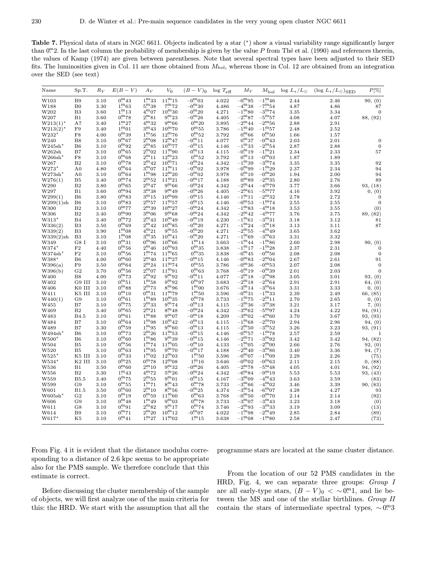**Table 7.** Physical data of stars in NGC 6611. Objects indicated by a star  $(*)$  show a visual variability range significantly larger than  $0<sup>m</sup>2$ . In the last column the probability of membership is given by the value P from Thé et al. (1990) and references therein, the values of Kamp (1974) are given between parentheses. Note that several spectral types have been adjusted to their SED fits. The luminosities given in Col. 11 are those obtained from  $M_{\text{bol}}$ , whereas those in Col. 12 are obtained from an integration over the SED (see text)

| Name                   | Sp.T.              | $R_V$        | $E(B-V)$                                | $A_V$                      | $V_0$                       | $(B - V)_{0}$                          | $log T_{\text{eff}}$ | $M_V$                           | $M_{\rm bol}$                      | $\log L_{\star}/L_{\odot}$ | $(\log L_{\star}/L_{\odot})_{\rm SED}$ | $P[\%]$         |
|------------------------|--------------------|--------------|-----------------------------------------|----------------------------|-----------------------------|----------------------------------------|----------------------|---------------------------------|------------------------------------|----------------------------|----------------------------------------|-----------------|
| W103                   | B <sub>9</sub>     | 3.10         | $0^{m}43$                               | $1^{m}33$                  | $11^{m}15$                  | $-0^{\rm m}03$                         | 4.022                | $-0^{\rm m}$ 95                 | $-1$ <sup>m</sup> 46               | 2.44                       | 2.46                                   | 90, (0)         |
| W188                   | $_{\rm B0}$        | 3.30         | $1^{m}63$                               | $5^{\rm m}38$              | 7 <sup>m</sup> 72           | $-0^{\rm m}30$                         | 4.486                | $-4\overset{m}{\cdot}38$        | $-7\overset{m}{.}54$               | 4.87                       | 4.86                                   | 87              |
| W202                   | B3                 | 3.60         | $1^{m}13$                               | $4^{\rm m}07$              | $10^{m}30$                  | $-0\overset{\text{m}}{.}20$            | 4.271                | $-1$ <sup>m</sup> 80            | $-3^{m}74$                         | 3.35                       | 3.34                                   | $\mathbf{0}$    |
| W207                   | B1                 | 3.60         | $0^{m}78$                               | $2^{\rm m}81$              | $9^{m}23$                   | $-0\overset{m}{.}26$                   | 4.405                | $-2^{\rm m}87$                  | $-5\overset{\textbf{m}}{.}57$      | 4.08                       | 4.07                                   | 88, (92)        |
| $W213(1)$ <sup>*</sup> | A7                 | 3.40         | $1^{m}27$                               | $4^{m}32$                  | $9^{m}66$                   | $0^{m}20$                              | 3.895                | $-2^{\rm m}44$                  | $-2^{\rm m}56$                     | 2.88                       | 2.91                                   |                 |
| $W213(2)$ <sup>*</sup> | F9                 | 3.40         | $1^{\rm m}01$                           | $3^{m}43$                  | $10^{m}70$                  | $0^{\rm m}55$                          | 3.786                | $-1^{\rm m}40$                  | $-1^{\rm m}57$                     | 2.48                       | 2.52                                   |                 |
| W232'                  | F8                 | 4.00         | $0^{m}39$                               | $1\overset{\text{m}}{.}56$ | $12^{m}76$                  | $0.^{\rm m}52$                         | 3.792                | $0^{\text{m}}$ 66               | $0^{\rm m}50$                      | 1.66                       | 1.57                                   |                 |
| W240                   | B8                 | 3.10         | $0^{m}67$                               | $2^{\rm m}08$              | $12^{m}47$                  | $-0^{\rm m}11$                         | 4.077                | $0^{m}37$                       | $-0^{\rm m}43$                     | 2.03                       | 2.01                                   | $\mathbf{0}$    |
| W245sh'                | B6                 | 3.10         | $0^{\rm m}92$                           | $2^{\rm m}85$              | $10^{m}77$                  | $-0^{\rm m}15$                         | 4.146                | $-1^{\rm m}33$                  | $-2^{\rm m}54$                     | 2.87                       | 2.88                                   | $\overline{0}$  |
| W262sh                 | B7                 | 3.10         | $0^{\rm m}$ 65                          | $2^{m}02$                  | $11^{m}90$                  | $-0^{\rm m}13$                         | 4.115                | $-0$ <sup>m</sup> 19            | $-1^{\rm m}21$                     | 2.34                       | 2.33                                   | 57              |
| $W266sh*$              | $_{\rm F8}$        | 3.10         | $0.^{\rm m}68$                          | $2^{\rm m}11$              | $12\overset{\text{m}}{.}23$ | $0^{\rm m}52$                          | 3.792                | $0^{\rm m}13$                   | $-0^{\rm m}03$                     | 1.87                       | 1.89                                   |                 |
| W267                   | B <sub>2</sub>     | 3.10         | $0^{m}78$                               | $2^{m}42$                  | $10^{m}71$                  | $-0^{\rm m}24$                         | 4.342                | $-1\overset{m}{\ldots}39$       | $-3^{m}74$                         | 3.35                       | 3.35                                   | 92              |
| $W273*$                | A <sub>0</sub>     | 4.80         | $0^{m}64$                               | $3^{m}07$                  | $11^{m}11$                  | $-0^{\rm m}02$                         | 3.978                | $-0\overset{\text{m}}{.}99$     | $-1$ <sup>m</sup> 29               | 2.37                       | 2.34                                   | 94              |
| W273sh'                | A <sub>0</sub>     | 3.10         | $0^{\rm m}$ 64                          | $1^{\rm m}98$              | $12^{m}20$                  | $-0^{\rm m}02$                         | 3.978                | $0^{\rm m}10$                   | $-0^{m}20$                         | 1.94                       | 2.00                                   | 94              |
| W276(1)                | B <sub>5</sub>     | 3.40         | $0^{m}74$                               | $2^{\rm m}52$              | $11^{m}21$                  | $-0$ <sup>m</sup> 17                   | 4.188                | $0^{m}89$                       | $-2^{\rm m}35$                     | 2.80                       | 2.76                                   | 89              |
| W290                   | B <sub>2</sub>     | 3.80         | $0^{m}65$                               | $2^{m}47$                  | $9^{m}66$                   | $-0^{\rm m}24$                         | 4.342                | $-2^{\rm m}44$                  | $-4^{m}79$                         | 3.77                       | 3.66                                   | 93, (18)        |
| W297                   | B1                 | 3.60         | $0^{\rm m}94$                           | $3^{m}38$                  | $9^{\rm m}49$               | $-0^{\rm m}26$                         | 4.405                | $-2^{\rm m}61$                  | $-5\frac{\text{m}}{177}$           | 4.16                       | 3.92                                   | 0, (0)          |
| W299(1)                | B6                 | 3.80         | $0^{m}83$                               | $3^{m}$ 15                 | $10^{m}99$                  | $-0^{\rm m}15$                         | 4.146                | $-\overline{1}$ <sup>m</sup> 11 | $-2^{\rm m}32$                     | 2.78                       | 2.72                                   | $\mathbf{0}$    |
| W299(1)sh              | B <sub>6</sub>     | 3.10         | $0^{m}83$                               | $2^{\rm m}57$              | $11^{m}57$                  | $-0^{\rm m}15$                         | 4.146                | $-0^{\rm m}53$                  | $-1^{m}74$                         | 2.55                       | 2.55                                   | $\mathbf{0}$    |
| W300                   | B <sub>2</sub>     | 3.10         | $0^{m}77$                               | $2^{m}39$                  | $10^{m}27$                  | $-0^{m}24$                             | 4.342                | $-1^{\rm m}83$                  | $-4^{m}18$                         | 3.53                       | 3.55                                   | (0)             |
| W306                   | B <sub>2</sub>     | 3.40         | $0^{\rm m}90$                           | $3^{m}06$                  | $9^{m}68$                   | $-0^{\rm m}24$                         | 4.342                | $-2^{\rm m}42$                  | $-4\rm{^{m}77}$                    | 3.76                       | 3.75                                   | 89, (82)        |
| $W313*$                | B <sub>4</sub>     | 3.40         | $0^{m}72$                               | $2^{\rm m}43$              | $10^{m}49$                  | $-0^{\rm m}19$                         | 4.230                | $-1^{\rm m}61$                  | $-3^{m}31$                         | 3.18                       | 3.12                                   | 81              |
| W336(2)                | B <sub>3</sub>     | 3.50         | $0^{m}69$                               | $2^{\rm m}42$              | $10^{m}85$                  | $-0^{\rm m}20$                         | 4.271                | $-1\cdot m24$                   | $-3\overset{m}{\ldots}18$          | 3.13                       | 3.11                                   | 87              |
| W339(2)                | B <sub>3</sub>     | 3.90         | $1^{m}08$                               | $4^{m}21$                  | $9^{m}55$                   | $-0^{m}20$                             | 4.271                | $-2^{\rm m}55$                  | $-4$ ."49                          | 3.65                       | 3.62                                   |                 |
| W339(2)sh              | B <sub>3</sub>     | 3.10         | $1^{\rm m}08$                           | 3 <sup>m</sup> 35          | $10^{m}41$                  | $-0^{m}20$                             | 4.271                | $-1^{\rm m}69$                  | $-3\text{m}63$                     | 3.31                       | 3.32                                   |                 |
| W349                   | G8 I               | 3.10         | $0^{m}31$                               | $0^{\rm m}96$              | $10^{m}66$                  | $1^{\rm m}14$                          | 3.663                | $-1^{\rm m}44$                  | $-1^{m}86$                         | 2.60                       | 2.98                                   | 90, (0)         |
| $W374*$                | $\rm F2$           | 4.40         | $0^{m}56$                               | $2^{m}46$                  | $10^{m}93$                  | $0^{m}35$                              | 3.838                | $-1$ <sup>m</sup> 17            | $\rm -1^{m}28$                     | 2.37                       | 2.31                                   | $\mathbf{0}$    |
| W374sh'                | F <sub>2</sub>     | 3.10         | $0^{\rm m}56$                           | $1^{m}74$                  | $11^{m}65$                  | $0^{m}35$                              | 3.838                | $-0^{\rm m}45$                  | $-0^{\rm m}56$                     | 2.08                       | 2.08                                   | $\mathbf{0}$    |
| W388*                  | B <sub>6</sub>     | 4.00         | $0^{\rm m}$ 60                          | $2^{m}40$                  | $11^{m}27$                  | $-0^{\rm m}15$                         | 4.146                | $-0^{\rm m}83$                  | $-2^{\rm m}04$                     | 2.67                       | 2.61                                   | 91              |
| W396(a)                | F9                 | 3.50         | $0^{m}64$                               | $2^{\rm m}24$              | $11^{m}74$                  | $0^{\rm m}55$                          | 3.786                | $-0^{m}36$                      | $-0^{m}53$                         | 2.07                       | 2.08                                   | $\mathbf{0}$    |
| W396(b)                | G <sub>2</sub>     | 3.70         | $0^{\rm m}56$                           | $2^{\rm m}07$              | $11^{m}91$                  | $0^{\rm m}$ 63                         | 3.768                | $-0$ <sup>m</sup> 19            | $-0\overset{\text{m}}{\ldots}39$   | 2.01                       | 2.03                                   | $\mathbf{0}$    |
| W400                   | B8                 | 4.00         | $0^{m}73$                               | $2^{\rm m}92$              | 9 <sup>m</sup> 92           | $-0^{\rm m}$ 11                        | 4.077                | $-2^{\rm m}18$                  | $-2^{\rm m}98$                     | 3.05                       | 3.01                                   | 93, (0)         |
| W402                   | G9 III             | 3.10         | $0^{\rm m}51$                           | $1^{m}58$                  | 9 <sup>m</sup> 92           | $0$ <sup>m</sup> 97                    | 3.683                | $-2^{\rm m}18$                  | $-2^{\rm m}64$                     | 2.91                       | 2.91                                   | 64, (0)         |
| W406                   | K0 III             | 3.10         | $0.^{\rm m}88$                          | $2^{m}73$                  | $8^{\rm m}96$               | $1^{m}00$                              | 3.676                | $-3^{m}14$<br>$-0^{m}31$        | $-3\cdot 64$                       | 3.31                       | 3.33                                   | 0, (0)          |
| W411                   | K5 III             | 3.10         | $0^{\rm m}10$                           | $0^{\rm m}31$              | 11 <sup>m</sup> 79          | $1^{\rm m}50$                          | 3.596                | $-1^{m}75$                      | $-1^{\rm m}33$                     | 2.39                       | 2.49                                   | 66, (85)        |
| W440(1)                | G <sub>9</sub>     | 3.10         | $0^{m}61$                               | $1^{m}89$<br>$2^{\rm m}33$ | $10^{m}35$<br>$9.5^{m}74$   | $0^{m}78$<br>$-0^{\rm m}13$            | 3.733                | $-2^{\rm m}36$                  | $-2^{\rm m}11$<br>$-3^{m}38$       | 2.70                       | 2.65                                   | 0, (0)          |
| W455                   | B7                 | 3.10         | $0^{m}75$                               | $2^{m}21$                  | $8^{m}48$                   |                                        | 4.115                | $-3^{m}62$                      |                                    | 3.21                       | 3.17                                   | 7, (0)          |
| W469                   | B <sub>2</sub>     | 3.40         | $0\rlap{.}^{\mathrm{m}}65$<br>$0^{m}61$ | $1^{m88}$                  | 9 <sup>m</sup> 07           | $-0\overset{m}{.}24$<br>$-0^{\rm m}18$ | 4.342                | $-3^{m}02$                      | $-5\text{m}97$<br>$-4\cdot 60$     | 4.24                       | 4.22                                   | 94, (91)        |
| W483                   | B4.5               | 3.10         | $0^{m}64$                               | $1^{\rm m}$ 98             | $10^{m}42$                  | $-0^{\rm m}13$                         | 4.209                | $\rm -1^{m}68$                  | $-2^{m}70$                         | 3.70                       | 3.67                                   | 93, (93)        |
| W484                   | B7                 | 3.10         | $0^{\rm m}59$                           | $1^{m}95$                  | $9^{m}60$                   | $-0^{m}13$                             | 4.115                | $-2^{m}50$                      | $-3^{m}52$                         | 2.94                       | 2.96                                   | 94, (0)         |
| W489<br>$W494sh*$      | B7<br>B6           | 3.30<br>3.10 | $0^{m}73$                               | $2^{m}26$                  | $11^{m}53$                  | $-0^{\rm m}15$                         | 4.115<br>4.146       | $-0^{\rm m}57$                  |                                    | 3.26                       | 3.23                                   | 93, (91)        |
| $W500*$                | B6                 | 3.10         | $0^{\rm m}$ 60                          | $1^{m}86$                  | 9 <sup>m</sup> 39           | $-0^{\rm m}15$                         | 4.146                | $-2^{m71}$                      | $-1$ <sup>m</sup> 78<br>$-3^{m}92$ | 2.57<br>3.42               | 2.59<br>3.42                           | 94, (82)        |
| W504                   | B <sub>5</sub>     | 3.10         | $0^{\rm m}56$                           | $1^{\rm m}$ 74             | $11^{m}05$                  | $-0^{\rm m}10$                         | 4.133                | $-1^{\rm m}05$                  | $-2^{\rm m}00$                     | 2.66                       | 2.76                                   | 92, (0)         |
| W520                   | B5                 | 3.10         | $0^{m}63$                               | $1^{\rm m}95$              | $9^{m}70$                   | $-0^{m}17$                             | 4.188                | $-2^{\rm m}40$                  | $-3^{m}86$                         | 3.40                       | 3.36                                   |                 |
| $W525*$                | K5 III             | 3.10         | $0^{m}33$                               | $1^{\rm m}02$              | $12^{m}03$                  | $1^{\rm m}_{\cdot}50$                  | 3.596                | $-0^{m}07$                      | $-1^{\rm m}09$                     | 2.29                       | 2.26                                   | 94, (7)         |
| $W534*$                | K <sub>2</sub> III | 3.10         | $0^{m}25$                               | $0^{m}78$                  | $12\overset{\text{m}}{.}08$ | $1^{\rm m}16$                          | 3.646                | $-0\overset{\text{m}}{.}02$     | $-0^{\rm m}$ 63                    | 2.11                       | 2.15                                   | (75)<br>0, (88) |
| W536                   | B1                 | 3.50         | $0^{\rm m}60$                           | $2^{m}10$                  | $9^{\rm m}32$               | $-0^{m}26$                             | 4.405                | $-2^{m}78$                      | $-5\cdot m48$                      | 4.05                       | 4.01                                   | 94, (92)        |
| W556                   | B <sub>2</sub>     | 3.30         | $1^{m}43$                               | $4^{m}72$                  | $5^{m}26$                   | $-0^{\rm m}24$                         | 4.342                | $-6\overset{\text{m}}{.}84$     | $-9$ <sup>m</sup> 19               | 5.53                       | 5.53                                   | 93, (43)        |
| W559                   | <b>B5.5</b>        | 3.40         | $0^{m}75$                               | $2^{\rm m}55$              | 9 <sup>m</sup> 01           | $-0^{\rm m}15$                         | 4.167                | $-3^{m}09$                      | $-4^{m}43$                         | 3.63                       | 3.59                                   | (83)            |
| W599                   | G9                 | 3.10         | $0^{\rm m}55$                           | $1^{m}71$                  | $8^{\rm m}43$               | $0^{m}78$                              | 3.733                | $-3\text{\textdegree}566$       | $-4^{m}02$                         | 3.46                       | 3.39                                   | 90, (83)        |
| W601                   | <b>B1.5</b>        | 3.50         | $0^{m}60$                               | 2 <sup>m</sup> 10          | $8^{m}56$                   | $-0^{\rm m}25$                         | 4.374                | $-3\overset{\text{m}}{.}54$     | $-6^{m}07$                         | 4.28                       | 4.27                                   | 93              |
| $W605sh*$              | $_{\rm G2}$        | 3.10         | $0^{m}19$                               | $0^{\rm m}59$              | $11^{m}60$                  | $0^{m}63$                              | 3.768                | $-0^{\mathrm{m}}50$             | $-0^{m}70$                         | 2.14                       | 2.14                                   | (92)            |
| W606                   | G9                 | 3.10         | $0^{m}48$                               | $1^{\rm m}49$              | $9^{\rm m}03$               | $0^{m}78$                              | 3.733                | $-3^{m}07$                      | $-3^{\rm m}43$                     | 3.23                       | 3.18                                   | (0)             |
| W611                   | G8                 | 3.10         | $0^{\rm m}91$                           | $2^{m}82$                  | $9^{m}$ 17                  | $0^{m}74$                              | 3.746                | $-2^{\rm m}93$                  | $-3\overset{\text{m}}{.}33$        | 3.19                       | 3.09                                   | (13)            |
| W614                   | B9                 | 3.10         | $0^{m}71$                               | $2^{m}20$                  | $10^{m}12$                  | $-0^{\rm m}07$                         | 4.022                | $-1\overset{\text{m}}{.}98$     | $-2^{\rm m}49$                     | 2.85                       | 2.84                                   | (89)            |
| $W617*$                | K5                 | 3.10         | $0^{\rm m}41$                           | $1^{m}27$                  | $11^{m}02$                  | $1^{\rm m}15$                          | 3.638                | $-1^{\rm m}08$                  | $-1^{\rm m}80$                     | 2.58                       | 2.47                                   | (73)            |

From Fig. 4 it is evident that the distance modulus corresponding to a distance of 2.6 kpc seems to be appropriate also for the PMS sample. We therefore conclude that this estimate is correct.

Before discussing the cluster membership of the sample of objects, we will first analyze one of the main criteria for this: the HRD. We start with the assumption that all the

From the location of our 52 PMS candidates in the HRD, Fig. 4, we can separate three groups: Group I are all early-type stars,  $(B - V)_0 < \sim 0$ <sup>m</sup>1, and lie between the MS and one of the stellar birthlines. Group II

contain the stars of intermediate spectral types,  $\sim$  0<sup>m</sup>3

programme stars are located at the same cluster distance.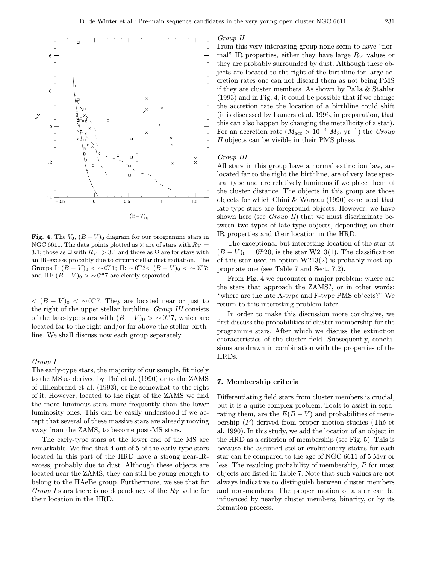

Fig. 4. The  $V_0$ ,  $(B - V)_0$  diagram for our programme stars in NGC 6611. The data points plotted as  $\times$  are of stars with  $R_V =$ 3.1; those as  $\Box$  with  $R_V > 3.1$  and those as  $\Diamond$  are for stars with an IR-excess probably due to circumstellar dust radiation. The Groups I:  $(B - V)_0 < \sim 0^{m} 1$ ; II:  $\sim 0^{m} 3 < (B - V)_0 < \sim 0^{m} 7$ ; and III:  $(B - V)_0 > \sim 0.^{m}$  are clearly separated

 $<$   $(B - V)_0$  < ~0. They are located near or just to the right of the upper stellar birthline. Group III consists of the late-type stars with  $(B - V)_0 > \sim 0.047$ , which are located far to the right and/or far above the stellar birthline. We shall discuss now each group separately.

#### Group I

The early-type stars, the majority of our sample, fit nicely to the MS as derived by Thé et al. (1990) or to the ZAMS of Hillenbrand et al. (1993), or lie somewhat to the right of it. However, located to the right of the ZAMS we find the more luminous stars more frequently than the lower luminosity ones. This can be easily understood if we accept that several of these massive stars are already moving away from the ZAMS, to become post-MS stars.

The early-type stars at the lower end of the MS are remarkable. We find that 4 out of 5 of the early-type stars located in this part of the HRD have a strong near-IRexcess, probably due to dust. Although these objects are located near the ZAMS, they can still be young enough to belong to the HAeBe group. Furthermore, we see that for Group I stars there is no dependency of the  $R_V$  value for their location in the HRD.

#### Group II

From this very interesting group none seem to have "normal" IR properties, either they have large  $R_V$  values or they are probably surrounded by dust. Although these objects are located to the right of the birthline for large accretion rates one can not discard them as not being PMS if they are cluster members. As shown by Palla & Stahler (1993) and in Fig. 4, it could be possible that if we change the accretion rate the location of a birthline could shift (it is discussed by Lamers et al. 1996, in preparation, that this can also happen by changing the metallicity of a star). For an accretion rate  $(M_{\text{acc}} > 10^{-4} M_{\odot} \text{ yr}^{-1})$  the Group II objects can be visible in their PMS phase.

## Group III

All stars in this group have a normal extinction law, are located far to the right the birthline, are of very late spectral type and are relatively luminous if we place them at the cluster distance. The objects in this group are those objects for which Chini & Wargau (1990) concluded that late-type stars are foreground objects. However, we have shown here (see *Group II*) that we must discriminate between two types of late-type objects, depending on their IR properties and their location in the HRD.

The exceptional but interesting location of the star at  $(B - V)_0 = 0$ <sup>m</sup>20, is the star W213(1). The classification of this star used in option W213(2) is probably most appropriate one (see Table 7 and Sect. 7.2).

From Fig. 4 we encounter a major problem: where are the stars that approach the ZAMS?, or in other words: "where are the late A-type and F-type PMS objects?" We return to this interesting problem later.

In order to make this discussion more conclusive, we first discuss the probabilities of cluster membership for the programme stars. After which we discuss the extinction characteristics of the cluster field. Subsequently, conclusions are drawn in combination with the properties of the HRDs.

## 7. Membership criteria

Differentiating field stars from cluster members is crucial, but it is a quite complex problem. Tools to assist in separating them, are the  $E(B-V)$  and probabilities of membership  $(P)$  derived from proper motion studies (The et al. 1990). In this study, we add the location of an object in the HRD as a criterion of membership (see Fig. 5). This is because the assumed stellar evolutionary status for each star can be compared to the age of NGC 6611 of 5 Myr or less. The resulting probability of membership, P for most objects are listed in Table 7. Note that such values are not always indicative to distinguish between cluster members and non-members. The proper motion of a star can be influenced by nearby cluster members, binarity, or by its formation process.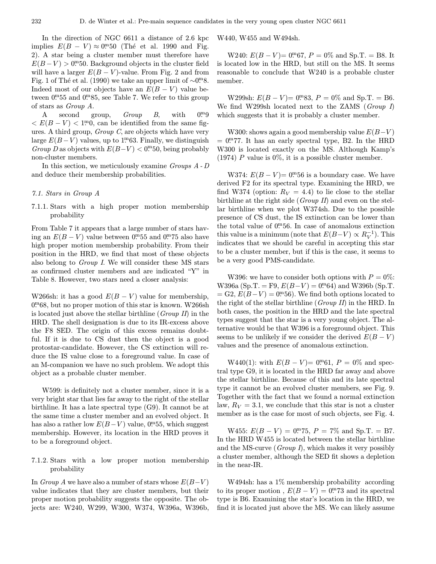In the direction of NGC 6611 a distance of 2.6 kpc implies  $E(B - V) \approx 0^{m}50$  (Thé et al. 1990 and Fig. 2). A star being a cluster member must therefore have  $E(B-V) > 0.00150$ . Background objects in the cluster field will have a larger  $E(B - V)$ -value. From Fig. 2 and from Fig. 1 of Thé et al. (1990) we take an upper limit of  $\sim$ 0<sup>m</sup>8. Indeed most of our objects have an  $E(B - V)$  value between  $0.0 \cdot 55$  and  $0.0 \cdot 85$ , see Table 7. We refer to this group of stars as Group A.

A second group, *Group* B, with <sup>m</sup>9  $\langle E(B-V) \rangle$  < 1.<sup>m</sup>0, can be identified from the same figures. A third group,  $Group\,C$ , are objects which have very large  $E(B-V)$  values, up to 1<sup>m</sup>63. Finally, we distinguish Group D as objects with  $E(B-V) < 0.00150$ , being probably non-cluster members.

In this section, we meticulously examine Groups A - D and deduce their membership probabilities.

#### 7.1. Stars in Group A

7.1.1. Stars with a high proper motion membership probability

From Table 7 it appears that a large number of stars having an  $E(B-V)$  value between 0<sup>m</sup>55 and 0<sup>m</sup>75 also have high proper motion membership probability. From their position in the HRD, we find that most of these objects also belong to Group I. We will consider these MS stars as confirmed cluster members and are indicated "Y" in Table 8. However, two stars need a closer analysis:

W266sh: it has a good  $E(B - V)$  value for membership, 0. <sup>m</sup>68, but no proper motion of this star is known. W266sh is located just above the stellar birthline (Group II) in the HRD. The shell designation is due to its IR-excess above the F8 SED. The origin of this excess remains doubtful. If it is due to CS dust then the object is a good protostar-candidate. However, the CS extinction will reduce the IS value close to a foreground value. In case of an M-companion we have no such problem. We adopt this object as a probable cluster member.

W599: is definitely not a cluster member, since it is a very bright star that lies far away to the right of the stellar birthline. It has a late spectral type (G9). It cannot be at the same time a cluster member and an evolved object. It has also a rather low  $E(B-V)$  value, 0<sup>m</sup>55, which suggest membership. However, its location in the HRD proves it to be a foreground object.

7.1.2. Stars with a low proper motion membership probability

In Group A we have also a number of stars whose  $E(B-V)$ value indicates that they are cluster members, but their proper motion probability suggests the opposite. The objects are: W240, W299, W300, W374, W396a, W396b, W440, W455 and W494sh.

W240:  $E(B - V) = 0.005$ ,  $P = 0\%$  and Sp.T. = B8. It is located low in the HRD, but still on the MS. It seems reasonable to conclude that W240 is a probable cluster member.

W299sh:  $E(B - V) = 0^{m}83$ ,  $P = 0\%$  and Sp.T. = B6. We find W299sh located next to the ZAMS (Group I) which suggests that it is probably a cluster member.

W300: shows again a good membership value  $E(B-V)$  $= 0$ . The HRD spectral type, B2. In the HRD W300 is located exactly on the MS. Although Kamp's (1974) P value is  $0\%$ , it is a possible cluster member.

W374:  $E(B - V) = 0$ <sup>n</sup>.56 is a boundary case. We have derived F2 for its spectral type. Examining the HRD, we find W374 (option:  $R_V = 4.4$ ) to lie close to the stellar birthline at the right side (Group II) and even on the stellar birthline when we plot W374sh. Due to the possible presence of CS dust, the IS extinction can be lower than the total value of  $0^{m}$ 56. In case of anomalous extinction this value is a minimum (note that  $E(B-V) \propto R_V^{-1}$ ). This indicates that we should be careful in accepting this star to be a cluster member, but if this is the case, it seems to be a very good PMS-candidate.

W396: we have to consider both options with  $P = 0\%$ : W396a (Sp.T. = F9,  $E(B-V) = 0^{m}64$ ) and W396b (Sp.T.  $= G2, E(B-V) = 0.00056$ . We find both options located to the right of the stellar birthline (Group II) in the HRD. In both cases, the position in the HRD and the late spectral types suggest that the star is a very young object. The alternative would be that W396 is a foreground object. This seems to be unlikely if we consider the derived  $E(B - V)$ values and the presence of anomalous extinction.

W440(1): with  $E(B - V) = 0^{m}61$ ,  $P = 0\%$  and spectral type G9, it is located in the HRD far away and above the stellar birthline. Because of this and its late spectral type it cannot be an evolved cluster members, see Fig. 9. Together with the fact that we found a normal extinction law,  $R_V = 3.1$ , we conclude that this star is not a cluster member as is the case for most of such objects, see Fig. 4.

W455:  $E(B - V) = 0.75$ ,  $P = 7\%$  and Sp.T. = B7. In the HRD W455 is located between the stellar birthline and the MS-curve  $(Group I)$ , which makes it very possibly a cluster member, although the SED fit shows a depletion in the near-IR.

W494sh: has a 1% membership probability according to its proper motion,  $E(B-V) = 0.073$  and its spectral type is B6. Examining the star's location in the HRD, we find it is located just above the MS. We can likely assume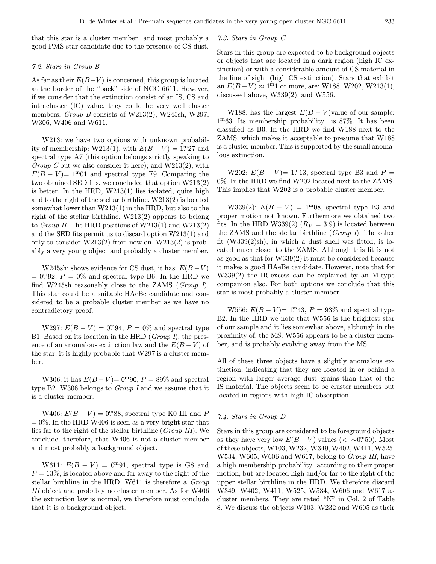that this star is a cluster member and most probably a good PMS-star candidate due to the presence of CS dust.

#### 7.2. Stars in Group B

As far as their  $E(B-V)$  is concerned, this group is located at the border of the "back" side of NGC 6611. However, if we consider that the extinction consist of an IS, CS and intracluster (IC) value, they could be very well cluster members. Group B consists of W213(2), W245sh, W297, W306, W406 and W611.

W213: we have two options with unknown probability of membership: W213(1), with  $E(B-V) = 1.27$  and spectral type A7 (this option belongs strictly speaking to Group C but we also consider it here); and  $W213(2)$ , with  $E(B - V) = 1$ <sup>m</sup>01 and spectral type F9. Comparing the two obtained SED fits, we concluded that option W213(2) is better. In the HRD, W213(1) lies isolated, quite high and to the right of the stellar birthline. W213(2) is located somewhat lower than W213(1) in the HRD, but also to the right of the stellar birthline. W213(2) appears to belong to Group II. The HRD positions of W213(1) and W213(2) and the SED fits permit us to discard option W213(1) and only to consider  $W213(2)$  from now on.  $W213(2)$  is probably a very young object and probably a cluster member.

W245sh: shows evidence for CS dust, it has:  $E(B-V)$  $= 0^{m}92, P = 0\%$  and spectral type B6. In the HRD we find W245sh reasonably close to the ZAMS (Group I). This star could be a suitable HAeBe candidate and considered to be a probable cluster member as we have no contradictory proof.

W297:  $E(B - V) = 0.94$ ,  $P = 0\%$  and spectral type B1. Based on its location in the HRD (Group I), the presence of an anomalous extinction law and the  $E(B-V)$  of the star, it is highly probable that W297 is a cluster member.

W306: it has  $E(B-V) = 0.0990, P = 89\%$  and spectral type B2. W306 belongs to Group I and we assume that it is a cluster member.

W406:  $E(B - V) = 0$ <sup>m</sup>88, spectral type K0 III and P  $= 0\%$ . In the HRD W406 is seen as a very bright star that lies far to the right of the stellar birthline (Group III). We conclude, therefore, that W406 is not a cluster member and most probably a background object.

W611:  $E(B - V) = 0^{m}91$ , spectral type is G8 and  $P = 13\%$ , is located above and far away to the right of the stellar birthline in the HRD. W611 is therefore a Group III object and probably no cluster member. As for W406 the extinction law is normal, we therefore must conclude that it is a background object.

#### 7.3. Stars in Group C

Stars in this group are expected to be background objects or objects that are located in a dark region (high IC extinction) or with a considerable amount of CS material in the line of sight (high CS extinction). Stars that exhibit an  $E(B-V) \approx 1$ <sup>m</sup>1 or more, are: W188, W202, W213(1), discussed above, W339(2), and W556.

W188: has the largest  $E(B - V)$  value of our sample: 1. <sup>m</sup>63. Its membership probability is 87%. It has been classified as B0. In the HRD we find W188 next to the ZAMS, which makes it acceptable to presume that W188 is a cluster member. This is supported by the small anomalous extinction.

W202:  $E(B - V) = 1<sup>m</sup>13$ , spectral type B3 and  $P =$ 0%. In the HRD we find W202 located next to the ZAMS. This implies that W202 is a probable cluster member.

W339(2):  $E(B - V) = 1^{m}08$ , spectral type B3 and proper motion not known. Furthermore we obtained two fits. In the HRD W339(2)  $(R_V = 3.9)$  is located between the ZAMS and the stellar birthline (*Group I*). The other fit  $(W339(2)sh)$ , in which a dust shell was fitted, is located much closer to the ZAMS. Although this fit is not as good as that for W339(2) it must be considered because it makes a good HAeBe candidate. However, note that for W339(2) the IR-excess can be explained by an M-type companion also. For both options we conclude that this star is most probably a cluster member.

W556:  $E(B - V) = 1<sup>m</sup>43$ ,  $P = 93%$  and spectral type B2. In the HRD we note that W556 is the brightest star of our sample and it lies somewhat above, although in the proximity of, the MS. W556 appears to be a cluster member, and is probably evolving away from the MS.

All of these three objects have a slightly anomalous extinction, indicating that they are located in or behind a region with larger average dust grains than that of the IS material. The objects seem to be cluster members but located in regions with high IC absorption.

## 7.4. Stars in Group D

Stars in this group are considered to be foreground objects as they have very low  $E(B-V)$  values (< ~0<sup>m</sup>50). Most of these objects, W103, W232, W349, W402, W411, W525, W534, W605, W606 and W617, belong to *Group III*, have a high membership probability according to their proper motion, but are located high and/or far to the right of the upper stellar birthline in the HRD. We therefore discard W349, W402, W411, W525, W534, W606 and W617 as cluster members. They are rated "N" in Col. 2 of Table 8. We discuss the objects W103, W232 and W605 as their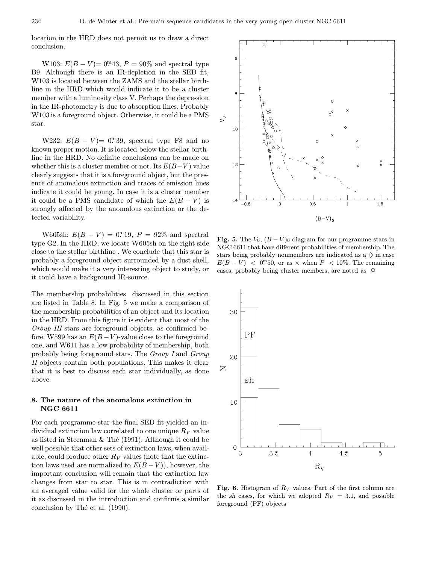location in the HRD does not permit us to draw a direct conclusion.

W103:  $E(B - V) = 0$ <sup>m</sup>43,  $P = 90\%$  and spectral type B9. Although there is an IR-depletion in the SED fit, W103 is located between the ZAMS and the stellar birthline in the HRD which would indicate it to be a cluster member with a luminosity class V. Perhaps the depression in the IR-photometry is due to absorption lines. Probably W103 is a foreground object. Otherwise, it could be a PMS star.

W232:  $E(B - V) = 0$ <sup>m</sup>39, spectral type F8 and no known proper motion. It is located below the stellar birthline in the HRD. No definite conclusions can be made on whether this is a cluster member or not. Its  $E(B-V)$  value clearly suggests that it is a foreground object, but the presence of anomalous extinction and traces of emission lines indicate it could be young. In case it is a cluster member it could be a PMS candidate of which the  $E(B - V)$  is strongly affected by the anomalous extinction or the detected variability.

W605sh:  $E(B - V) = 0$ . 19,  $P = 92\%$  and spectral type G2. In the HRD, we locate W605sh on the right side close to the stellar birthline . We conclude that this star is probably a foreground object surrounded by a dust shell, which would make it a very interesting object to study, or it could have a background IR-source.

The membership probabilities discussed in this section are listed in Table 8. In Fig. 5 we make a comparison of the membership probabilities of an object and its location in the HRD. From this figure it is evident that most of the Group III stars are foreground objects, as confirmed before. W599 has an  $E(B-V)$ -value close to the foreground one, and W611 has a low probability of membership, both probably being foreground stars. The Group I and Group II objects contain both populations. This makes it clear that it is best to discuss each star individually, as done above.

## 8. The nature of the anomalous extinction in NGC 6611

For each programme star the final SED fit yielded an individual extinction law correlated to one unique  $R_V$  value as listed in Steenman & Thé (1991). Although it could be well possible that other sets of extinction laws, when available, could produce other  $R_V$  values (note that the extinction laws used are normalized to  $E(B-V)$ , however, the important conclusion will remain that the extinction law changes from star to star. This is in contradiction with an averaged value valid for the whole cluster or parts of it as discussed in the introduction and confirms a similar conclusion by Thé et al. (1990).



Fig. 5. The  $V_0$ ,  $(B - V)_0$  diagram for our programme stars in NGC 6611 that have different probabilities of membership. The stars being probably nonmembers are indicated as a  $\diamondsuit$  in case  $E(B-V) < 0^{m}50$ , or as  $\times$  when  $P < 10\%$ . The remaining cases, probably being cluster members, are noted as  $\circ$ 



Fig. 6. Histogram of  $R_V$  values. Part of the first column are the sh cases, for which we adopted  $R_V = 3.1$ , and possible foreground (PF) objects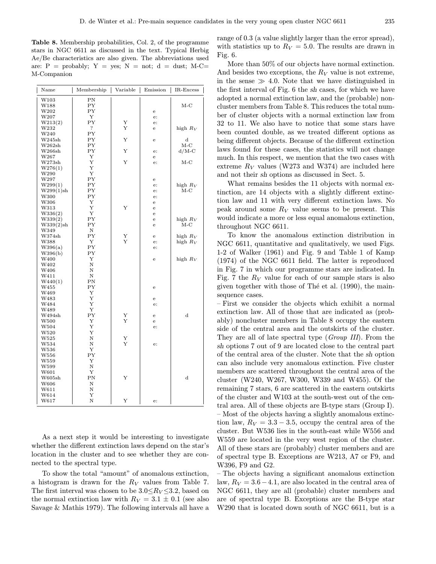Table 8. Membership probabilities, Col. 2, of the programme stars in NGC 6611 as discussed in the text. Typical Herbig Ae/Be characteristics are also given. The abbreviations used are:  $P =$  probably;  $Y =$  yes;  $N =$  not;  $d =$  dust; M-C= M-Companion

| W103<br>ΡN<br>$M-C$<br>W188<br>ΡY<br>PΥ<br>W202<br>e<br>W207<br>Υ<br>e:<br>W213(2)<br>ΡY<br>Υ<br>e:<br>?<br>Υ<br>high $R_V$<br>W232<br>е<br>W240<br>PΥ<br>PΥ<br>Υ<br>W245sh<br>$\rm _d$<br>e<br>PΥ<br>$M-C$<br>W262sh<br>PY<br>W266sh<br>Υ<br>$d/M-C$<br>e:<br>W267<br>Υ<br>e<br>Y<br>W273sh<br>Υ<br>$M-C$<br>e:<br>W276(1)<br>Υ<br>W290<br>Y<br>PΥ<br>W297<br>e<br>PΥ<br>high $R_V$<br>W299(1)<br>e:<br>PΥ<br>$M-C$<br>W299(1)sh<br>e:<br>PΥ<br>W300<br>e:<br>W306<br>Υ<br>e<br>Υ<br>Υ<br>W313<br>$\mathbf e$<br>Υ<br>W336(2)<br>e<br>PΥ<br>high $R_V$<br>W339(2)<br>e<br>PΥ<br>$M-C$<br>W339(2)sh<br>$\mathbf e$<br>Ν<br>W349<br>PY<br>W374sh<br>Υ<br>high $R_V$<br>е<br>Υ<br>Υ<br>W388<br>high $R_V$<br>e:<br>PΥ<br>W396(a)<br>e:<br>PΥ<br>W396(b)<br>W400<br>Υ<br>high $R_V$<br>$\mathbf e$<br>Ν<br>W402<br>W406<br>Ν<br>W411<br>Ν<br>ΡN<br>W440(1)<br>PΥ<br>W455<br>e<br>W469<br>Y<br>Υ<br>W483<br>e<br>Υ<br>W484<br>e:<br>W489<br>Υ<br>PΥ<br>Υ<br>d<br>W494sh<br>$\mathbf e$<br>Y<br>W500<br>Υ<br>e<br>Υ<br>W504<br>e:<br>Υ<br>W520<br>Υ<br>W525<br>Ν<br>Ν<br>Υ<br>W534<br>e:<br>Υ<br>W536<br>PY<br>W556<br>Υ<br>W559<br>Ν<br>W599<br>Υ<br>W601<br>ΡN<br>Y<br>$\mathbf d$<br>W605sh<br>W606<br>Ν | Name | Membership | Variable<br>$\mathbf{I}$ | Emission | IR-Excess |
|--------------------------------------------------------------------------------------------------------------------------------------------------------------------------------------------------------------------------------------------------------------------------------------------------------------------------------------------------------------------------------------------------------------------------------------------------------------------------------------------------------------------------------------------------------------------------------------------------------------------------------------------------------------------------------------------------------------------------------------------------------------------------------------------------------------------------------------------------------------------------------------------------------------------------------------------------------------------------------------------------------------------------------------------------------------------------------------------------------------------------------------------------------------------------------------------------------|------|------------|--------------------------|----------|-----------|
|                                                                                                                                                                                                                                                                                                                                                                                                                                                                                                                                                                                                                                                                                                                                                                                                                                                                                                                                                                                                                                                                                                                                                                                                        |      |            |                          |          |           |
|                                                                                                                                                                                                                                                                                                                                                                                                                                                                                                                                                                                                                                                                                                                                                                                                                                                                                                                                                                                                                                                                                                                                                                                                        |      |            |                          |          |           |
|                                                                                                                                                                                                                                                                                                                                                                                                                                                                                                                                                                                                                                                                                                                                                                                                                                                                                                                                                                                                                                                                                                                                                                                                        |      |            |                          |          |           |
|                                                                                                                                                                                                                                                                                                                                                                                                                                                                                                                                                                                                                                                                                                                                                                                                                                                                                                                                                                                                                                                                                                                                                                                                        |      |            |                          |          |           |
|                                                                                                                                                                                                                                                                                                                                                                                                                                                                                                                                                                                                                                                                                                                                                                                                                                                                                                                                                                                                                                                                                                                                                                                                        |      |            |                          |          |           |
|                                                                                                                                                                                                                                                                                                                                                                                                                                                                                                                                                                                                                                                                                                                                                                                                                                                                                                                                                                                                                                                                                                                                                                                                        |      |            |                          |          |           |
|                                                                                                                                                                                                                                                                                                                                                                                                                                                                                                                                                                                                                                                                                                                                                                                                                                                                                                                                                                                                                                                                                                                                                                                                        |      |            |                          |          |           |
|                                                                                                                                                                                                                                                                                                                                                                                                                                                                                                                                                                                                                                                                                                                                                                                                                                                                                                                                                                                                                                                                                                                                                                                                        |      |            |                          |          |           |
|                                                                                                                                                                                                                                                                                                                                                                                                                                                                                                                                                                                                                                                                                                                                                                                                                                                                                                                                                                                                                                                                                                                                                                                                        |      |            |                          |          |           |
|                                                                                                                                                                                                                                                                                                                                                                                                                                                                                                                                                                                                                                                                                                                                                                                                                                                                                                                                                                                                                                                                                                                                                                                                        |      |            |                          |          |           |
|                                                                                                                                                                                                                                                                                                                                                                                                                                                                                                                                                                                                                                                                                                                                                                                                                                                                                                                                                                                                                                                                                                                                                                                                        |      |            |                          |          |           |
|                                                                                                                                                                                                                                                                                                                                                                                                                                                                                                                                                                                                                                                                                                                                                                                                                                                                                                                                                                                                                                                                                                                                                                                                        |      |            |                          |          |           |
|                                                                                                                                                                                                                                                                                                                                                                                                                                                                                                                                                                                                                                                                                                                                                                                                                                                                                                                                                                                                                                                                                                                                                                                                        |      |            |                          |          |           |
|                                                                                                                                                                                                                                                                                                                                                                                                                                                                                                                                                                                                                                                                                                                                                                                                                                                                                                                                                                                                                                                                                                                                                                                                        |      |            |                          |          |           |
|                                                                                                                                                                                                                                                                                                                                                                                                                                                                                                                                                                                                                                                                                                                                                                                                                                                                                                                                                                                                                                                                                                                                                                                                        |      |            |                          |          |           |
|                                                                                                                                                                                                                                                                                                                                                                                                                                                                                                                                                                                                                                                                                                                                                                                                                                                                                                                                                                                                                                                                                                                                                                                                        |      |            |                          |          |           |
|                                                                                                                                                                                                                                                                                                                                                                                                                                                                                                                                                                                                                                                                                                                                                                                                                                                                                                                                                                                                                                                                                                                                                                                                        |      |            |                          |          |           |
|                                                                                                                                                                                                                                                                                                                                                                                                                                                                                                                                                                                                                                                                                                                                                                                                                                                                                                                                                                                                                                                                                                                                                                                                        |      |            |                          |          |           |
|                                                                                                                                                                                                                                                                                                                                                                                                                                                                                                                                                                                                                                                                                                                                                                                                                                                                                                                                                                                                                                                                                                                                                                                                        |      |            |                          |          |           |
|                                                                                                                                                                                                                                                                                                                                                                                                                                                                                                                                                                                                                                                                                                                                                                                                                                                                                                                                                                                                                                                                                                                                                                                                        |      |            |                          |          |           |
|                                                                                                                                                                                                                                                                                                                                                                                                                                                                                                                                                                                                                                                                                                                                                                                                                                                                                                                                                                                                                                                                                                                                                                                                        |      |            |                          |          |           |
|                                                                                                                                                                                                                                                                                                                                                                                                                                                                                                                                                                                                                                                                                                                                                                                                                                                                                                                                                                                                                                                                                                                                                                                                        |      |            |                          |          |           |
|                                                                                                                                                                                                                                                                                                                                                                                                                                                                                                                                                                                                                                                                                                                                                                                                                                                                                                                                                                                                                                                                                                                                                                                                        |      |            |                          |          |           |
|                                                                                                                                                                                                                                                                                                                                                                                                                                                                                                                                                                                                                                                                                                                                                                                                                                                                                                                                                                                                                                                                                                                                                                                                        |      |            |                          |          |           |
|                                                                                                                                                                                                                                                                                                                                                                                                                                                                                                                                                                                                                                                                                                                                                                                                                                                                                                                                                                                                                                                                                                                                                                                                        |      |            |                          |          |           |
|                                                                                                                                                                                                                                                                                                                                                                                                                                                                                                                                                                                                                                                                                                                                                                                                                                                                                                                                                                                                                                                                                                                                                                                                        |      |            |                          |          |           |
|                                                                                                                                                                                                                                                                                                                                                                                                                                                                                                                                                                                                                                                                                                                                                                                                                                                                                                                                                                                                                                                                                                                                                                                                        |      |            |                          |          |           |
|                                                                                                                                                                                                                                                                                                                                                                                                                                                                                                                                                                                                                                                                                                                                                                                                                                                                                                                                                                                                                                                                                                                                                                                                        |      |            |                          |          |           |
|                                                                                                                                                                                                                                                                                                                                                                                                                                                                                                                                                                                                                                                                                                                                                                                                                                                                                                                                                                                                                                                                                                                                                                                                        |      |            |                          |          |           |
|                                                                                                                                                                                                                                                                                                                                                                                                                                                                                                                                                                                                                                                                                                                                                                                                                                                                                                                                                                                                                                                                                                                                                                                                        |      |            |                          |          |           |
|                                                                                                                                                                                                                                                                                                                                                                                                                                                                                                                                                                                                                                                                                                                                                                                                                                                                                                                                                                                                                                                                                                                                                                                                        |      |            |                          |          |           |
|                                                                                                                                                                                                                                                                                                                                                                                                                                                                                                                                                                                                                                                                                                                                                                                                                                                                                                                                                                                                                                                                                                                                                                                                        |      |            |                          |          |           |
|                                                                                                                                                                                                                                                                                                                                                                                                                                                                                                                                                                                                                                                                                                                                                                                                                                                                                                                                                                                                                                                                                                                                                                                                        |      |            |                          |          |           |
|                                                                                                                                                                                                                                                                                                                                                                                                                                                                                                                                                                                                                                                                                                                                                                                                                                                                                                                                                                                                                                                                                                                                                                                                        |      |            |                          |          |           |
|                                                                                                                                                                                                                                                                                                                                                                                                                                                                                                                                                                                                                                                                                                                                                                                                                                                                                                                                                                                                                                                                                                                                                                                                        |      |            |                          |          |           |
|                                                                                                                                                                                                                                                                                                                                                                                                                                                                                                                                                                                                                                                                                                                                                                                                                                                                                                                                                                                                                                                                                                                                                                                                        |      |            |                          |          |           |
|                                                                                                                                                                                                                                                                                                                                                                                                                                                                                                                                                                                                                                                                                                                                                                                                                                                                                                                                                                                                                                                                                                                                                                                                        |      |            |                          |          |           |
|                                                                                                                                                                                                                                                                                                                                                                                                                                                                                                                                                                                                                                                                                                                                                                                                                                                                                                                                                                                                                                                                                                                                                                                                        |      |            |                          |          |           |
|                                                                                                                                                                                                                                                                                                                                                                                                                                                                                                                                                                                                                                                                                                                                                                                                                                                                                                                                                                                                                                                                                                                                                                                                        |      |            |                          |          |           |
|                                                                                                                                                                                                                                                                                                                                                                                                                                                                                                                                                                                                                                                                                                                                                                                                                                                                                                                                                                                                                                                                                                                                                                                                        |      |            |                          |          |           |
|                                                                                                                                                                                                                                                                                                                                                                                                                                                                                                                                                                                                                                                                                                                                                                                                                                                                                                                                                                                                                                                                                                                                                                                                        |      |            |                          |          |           |
|                                                                                                                                                                                                                                                                                                                                                                                                                                                                                                                                                                                                                                                                                                                                                                                                                                                                                                                                                                                                                                                                                                                                                                                                        |      |            |                          |          |           |
|                                                                                                                                                                                                                                                                                                                                                                                                                                                                                                                                                                                                                                                                                                                                                                                                                                                                                                                                                                                                                                                                                                                                                                                                        |      |            |                          |          |           |
|                                                                                                                                                                                                                                                                                                                                                                                                                                                                                                                                                                                                                                                                                                                                                                                                                                                                                                                                                                                                                                                                                                                                                                                                        |      |            |                          |          |           |
|                                                                                                                                                                                                                                                                                                                                                                                                                                                                                                                                                                                                                                                                                                                                                                                                                                                                                                                                                                                                                                                                                                                                                                                                        |      |            |                          |          |           |
|                                                                                                                                                                                                                                                                                                                                                                                                                                                                                                                                                                                                                                                                                                                                                                                                                                                                                                                                                                                                                                                                                                                                                                                                        |      |            |                          |          |           |
|                                                                                                                                                                                                                                                                                                                                                                                                                                                                                                                                                                                                                                                                                                                                                                                                                                                                                                                                                                                                                                                                                                                                                                                                        |      |            |                          |          |           |
|                                                                                                                                                                                                                                                                                                                                                                                                                                                                                                                                                                                                                                                                                                                                                                                                                                                                                                                                                                                                                                                                                                                                                                                                        |      |            |                          |          |           |
|                                                                                                                                                                                                                                                                                                                                                                                                                                                                                                                                                                                                                                                                                                                                                                                                                                                                                                                                                                                                                                                                                                                                                                                                        |      |            |                          |          |           |
|                                                                                                                                                                                                                                                                                                                                                                                                                                                                                                                                                                                                                                                                                                                                                                                                                                                                                                                                                                                                                                                                                                                                                                                                        |      |            |                          |          |           |
|                                                                                                                                                                                                                                                                                                                                                                                                                                                                                                                                                                                                                                                                                                                                                                                                                                                                                                                                                                                                                                                                                                                                                                                                        |      |            |                          |          |           |
|                                                                                                                                                                                                                                                                                                                                                                                                                                                                                                                                                                                                                                                                                                                                                                                                                                                                                                                                                                                                                                                                                                                                                                                                        | W611 | N          |                          |          |           |
| W614<br>Υ                                                                                                                                                                                                                                                                                                                                                                                                                                                                                                                                                                                                                                                                                                                                                                                                                                                                                                                                                                                                                                                                                                                                                                                              |      |            |                          |          |           |
| Ν<br>Y<br>W617<br>e:                                                                                                                                                                                                                                                                                                                                                                                                                                                                                                                                                                                                                                                                                                                                                                                                                                                                                                                                                                                                                                                                                                                                                                                   |      |            |                          |          |           |

As a next step it would be interesting to investigate whether the different extinction laws depend on the star's location in the cluster and to see whether they are connected to the spectral type.

To show the total "amount" of anomalous extinction, a histogram is drawn for the  $R_V$  values from Table 7. The first interval was chosen to be  $3.0 \le R_V \le 3.2$ , based on the normal extinction law with  $R_V = 3.1 \pm 0.1$  (see also Savage & Mathis 1979). The following intervals all have a range of 0.3 (a value slightly larger than the error spread), with statistics up to  $R_V = 5.0$ . The results are drawn in Fig. 6.

More than  $50\%$  of our objects have normal extinction. And besides two exceptions, the  $R_V$  value is not extreme, in the sense  $\gg$  4.0. Note that we have distinguished in the first interval of Fig. 6 the sh cases, for which we have adopted a normal extinction law, and the (probable) noncluster members from Table 8. This reduces the total number of cluster objects with a normal extinction law from 32 to 11. We also have to notice that some stars have been counted double, as we treated different options as being different objects. Because of the different extinction laws found for these cases, the statistics will not change much. In this respect, we mention that the two cases with extreme  $R_V$  values (W273 and W374) are included here and not their sh options as discussed in Sect. 5.

What remains besides the 11 objects with normal extinction, are 14 objects with a slightly different extinction law and 11 with very different extinction laws. No peak around some  $R_V$  value seems to be present. This would indicate a more or less equal anomalous extinction, throughout NGC 6611.

To know the anomalous extinction distribution in NGC 6611, quantitative and qualitatively, we used Figs. 1-2 of Walker (1961) and Fig. 9 and Table 1 of Kamp (1974) of the NGC 6611 field. The latter is reproduced in Fig. 7 in which our programme stars are indicated. In Fig. 7 the  $R_V$  value for each of our sample stars is also given together with those of Thé et al.  $(1990)$ , the mainsequence cases.

– First we consider the objects which exhibit a normal extinction law. All of those that are indicated as (probably) noncluster members in Table 8 occupy the eastern side of the central area and the outskirts of the cluster. They are all of late spectral type (Group III). From the sh options 7 out of 9 are located close to the central part of the central area of the cluster. Note that the sh option can also include very anomalous extinction. Five cluster members are scattered throughout the central area of the cluster (W240, W267, W300, W339 and W455). Of the remaining 7 stars, 6 are scattered in the eastern outskirts of the cluster and W103 at the south-west out of the central area. All of these objects are B-type stars (Group I). – Most of the objects having a slightly anomalous extinction law,  $R_V = 3.3 - 3.5$ , occupy the central area of the cluster. But W536 lies in the south-east while W556 and W559 are located in the very west region of the cluster. All of these stars are (probably) cluster members and are of spectral type B. Exceptions are W213, A7 or F9, and W396, F9 and G2.

– The objects having a significant anomalous extinction law,  $R_V = 3.6 - 4.1$ , are also located in the central area of NGC 6611, they are all (probable) cluster members and are of spectral type B. Exceptions are the B-type star W290 that is located down south of NGC 6611, but is a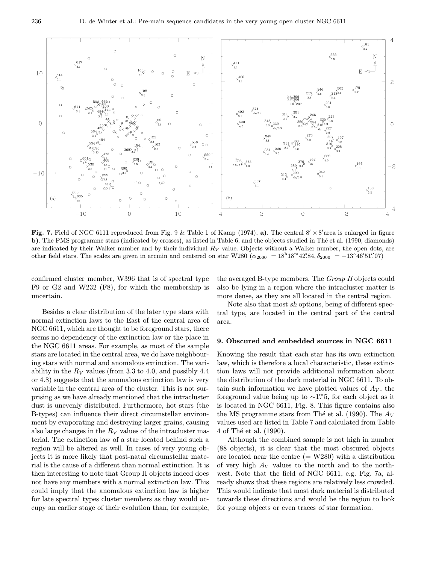

Fig. 7. Field of NGC 6111 reproduced from Fig. 9 & Table 1 of Kamp (1974), a). The central  $8' \times 8'$  area is enlarged in figure b). The PMS programme stars (indicated by crosses), as listed in Table 6, and the objects studied in Thé et al. (1990, diamonds) are indicated by their Walker number and by their individual  $R_V$  value. Objects without a Walker number, the open dots, are other field stars. The scales are given in arcmin and centered on star W280  $(\alpha_{2000} = 18^{\text{h}}18^{\text{m}}42^{\text{s}}84, \delta_{2000} = -13^{\circ}46'51''07)$ 

confirmed cluster member, W396 that is of spectral type F9 or G2 and W232 (F8), for which the membership is uncertain.

the averaged B-type members. The Group II objects could also be lying in a region where the intracluster matter is more dense, as they are all located in the central region.

Besides a clear distribution of the later type stars with normal extinction laws to the East of the central area of NGC 6611, which are thought to be foreground stars, there seems no dependency of the extinction law or the place in the NGC 6611 areas. For example, as most of the sample stars are located in the central area, we do have neighbouring stars with normal and anomalous extinction. The variability in the  $R_V$  values (from 3.3 to 4.0, and possibly 4.4 or 4.8) suggests that the anomalous extinction law is very variable in the central area of the cluster. This is not surprising as we have already mentioned that the intracluster dust is unevenly distributed. Furthermore, hot stars (the B-types) can influence their direct circumstellar environment by evaporating and destroying larger grains, causing also large changes in the  $R_V$  values of the intracluster material. The extinction law of a star located behind such a region will be altered as well. In cases of very young objects it is more likely that post-natal circumstellar material is the cause of a different than normal extinction. It is then interesting to note that Group II objects indeed does not have any members with a normal extinction law. This could imply that the anomalous extinction law is higher for late spectral types cluster members as they would occupy an earlier stage of their evolution than, for example,

Note also that most sh options, being of different spectral type, are located in the central part of the central area.

## 9. Obscured and embedded sources in NGC 6611

Knowing the result that each star has its own extinction law, which is therefore a local characteristic, these extinction laws will not provide additional information about the distribution of the dark material in NGC 6611. To obtain such information we have plotted values of  $A_V$ , the foreground value being up to  $\sim$ 1.<sup>m</sup>5, for each object as it is located in NGC 6611, Fig. 8. This figure contains also the MS programme stars from Thé et al. (1990). The  $A_V$ values used are listed in Table 7 and calculated from Table 4 of Thé et al. (1990).

Although the combined sample is not high in number (88 objects), it is clear that the most obscured objects are located near the centre  $(= W280)$  with a distribution of very high  $A_V$  values to the north and to the northwest. Note that the field of NGC 6611, e.g. Fig. 7a, already shows that these regions are relatively less crowded. This would indicate that most dark material is distributed towards these directions and would be the region to look for young objects or even traces of star formation.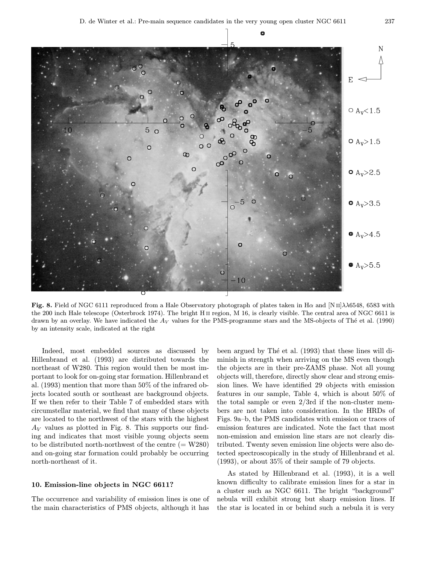

Fig. 8. Field of NGC 6111 reproduced from a Hale Observatory photograph of plates taken in H $\alpha$  and [N II] $\lambda\lambda$ 6548, 6583 with the 200 inch Hale telescope (Osterbrock 1974). The bright H<sub>II</sub> region, M 16, is clearly visible. The central area of NGC 6611 is drawn by an overlay. We have indicated the  $A_V$  values for the PMS-programme stars and the MS-objects of Thé et al. (1990) by an intensity scale, indicated at the right

Indeed, most embedded sources as discussed by Hillenbrand et al. (1993) are distributed towards the northeast of W280. This region would then be most important to look for on-going star formation. Hillenbrand et al. (1993) mention that more than 50% of the infrared objects located south or southeast are background objects. If we then refer to their Table 7 of embedded stars with circumstellar material, we find that many of these objects are located to the northwest of the stars with the highest  $A_V$  values as plotted in Fig. 8. This supports our finding and indicates that most visible young objects seem to be distributed north-northwest of the centre  $(= W280)$ and on-going star formation could probably be occurring north-northeast of it.

## 10. Emission-line objects in NGC 6611?

The occurrence and variability of emission lines is one of the main characteristics of PMS objects, although it has

been argued by Thé et al. (1993) that these lines will diminish in strength when arriving on the MS even though the objects are in their pre-ZAMS phase. Not all young objects will, therefore, directly show clear and strong emission lines. We have identified 29 objects with emission features in our sample, Table 4, which is about 50% of the total sample or even 2/3rd if the non-cluster members are not taken into consideration. In the HRDs of Figs. 9a–b, the PMS candidates with emission or traces of emission features are indicated. Note the fact that most non-emission and emission line stars are not clearly distributed. Twenty seven emission line objects were also detected spectroscopically in the study of Hillenbrand et al. (1993), or about 35% of their sample of 79 objects.

As stated by Hillenbrand et al. (1993), it is a well known difficulty to calibrate emission lines for a star in a cluster such as NGC 6611. The bright "background" nebula will exhibit strong but sharp emission lines. If the star is located in or behind such a nebula it is very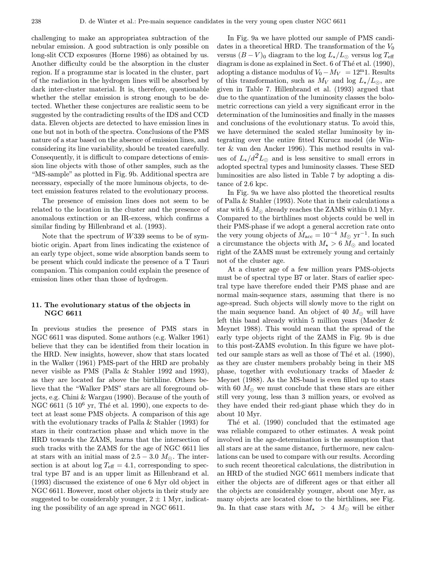challenging to make an appropriatea subtraction of the nebular emission. A good subtraction is only possible on long-slit CCD exposures (Horne 1986) as obtained by us. Another difficulty could be the absorption in the cluster region. If a programme star is located in the cluster, part of the radiation in the hydrogen lines will be absorbed by dark inter-cluster material. It is, therefore, questionable whether the stellar emission is strong enough to be detected. Whether these conjectures are realistic seem to be suggested by the contradicting results of the IDS and CCD data. Eleven objects are detected to have emission lines in one but not in both of the spectra. Conclusions of the PMS nature of a star based on the absence of emission lines, and considering its line variability, should be treated carefully. Consequently, it is difficult to compare detections of emission line objects with those of other samples, such as the "MS-sample" as plotted in Fig. 9b. Additional spectra are necessary, especially of the more luminous objects, to detect emission features related to the evolutionary process.

The presence of emission lines does not seem to be related to the location in the cluster and the presence of anomalous extinction or an IR-excess, which confirms a similar finding by Hillenbrand et al. (1993).

Note that the spectrum of  $W339$  seems to be of symbiotic origin. Apart from lines indicating the existence of an early type object, some wide absorption bands seem to be present which could indicate the presence of a T Tauri companion. This companion could explain the presence of emission lines other than those of hydrogen.

# 11. The evolutionary status of the objects in NGC 6611

In previous studies the presence of PMS stars in NGC 6611 was disputed. Some authors (e.g. Walker 1961) believe that they can be identified from their location in the HRD. New insights, however, show that stars located in the Walker (1961) PMS-part of the HRD are probably never visible as PMS (Palla & Stahler 1992 and 1993), as they are located far above the birthline. Others believe that the "Walker PMS" stars are all foreground objects, e.g. Chini & Wargau (1990). Because of the youth of NGC 6611 (5  $10^6$  yr, Thé et al. 1990), one expects to detect at least some PMS objects. A comparison of this age with the evolutionary tracks of Palla & Stahler (1993) for stars in their contraction phase and which move in the HRD towards the ZAMS, learns that the intersection of such tracks with the ZAMS for the age of NGC 6611 lies at stars with an initial mass of  $2.5 - 3.0$   $M_{\odot}$ . The intersection is at about  $log T_{\text{eff}} = 4.1$ , corresponding to spectral type B7 and is an upper limit as Hillenbrand et al. (1993) discussed the existence of one 6 Myr old object in NGC 6611. However, most other objects in their study are suggested to be considerably younger,  $2 \pm 1$  Myr, indicating the possibility of an age spread in NGC 6611.

In Fig. 9a we have plotted our sample of PMS candidates in a theoretical HRD. The transformation of the  $V_0$ versus  $(B-V)_0$  diagram to the log  $L_{\star}/L_{\odot}$  versus log  $T_{\text{eff}}$ diagram is done as explained in Sect.  $6$  of The et al. (1990), adopting a distance modulus of  $V_0 - M_V = 12<sup>m</sup>1$ . Results of this transformation, such as  $M_V$  and log  $L_{\star}/L_{\odot}$ , are given in Table 7. Hillenbrand et al. (1993) argued that due to the quantization of the luminosity classes the bolometric corrections can yield a very significant error in the determination of the luminosities and finally in the masses and conclusions of the evolutionary status. To avoid this, we have determined the scaled stellar luminosity by integrating over the entire fitted Kurucz model (de Winter & van den Ancker 1996). This method results in values of  $L_{\star}/d^2L_{\odot}$  and is less sensitive to small errors in adopted spectral types and luminosity classes. These SED luminosities are also listed in Table 7 by adopting a distance of 2.6 kpc.

In Fig. 9a we have also plotted the theoretical results of Palla & Stahler (1993). Note that in their calculations a star with 6  $M_{\odot}$  already reaches the ZAMS within 0.1 Myr. Compared to the birthlines most objects could be well in their PMS-phase if we adopt a general accretion rate onto the very young objects of  $M_{\text{acc}} = 10^{-4} M_{\odot} \text{ yr}^{-1}$ . In such a circumstance the objects with  $M_{\star} > 6$   $M_{\odot}$  and located right of the ZAMS must be extremely young and certainly not of the cluster age.

At a cluster age of a few million years PMS-objects must be of spectral type B7 or later. Stars of earlier spectral type have therefore ended their PMS phase and are normal main-sequence stars, assuming that there is no age-spread. Such objects will slowly move to the right on the main sequence band. An object of 40  $M_{\odot}$  will have left this band already within 5 million years (Maeder & Meynet 1988). This would mean that the spread of the early type objects right of the ZAMS in Fig. 9b is due to this post-ZAMS evolution. In this figure we have plotted our sample stars as well as those of Thé et al.  $(1990)$ , as they are cluster members probably being in their MS phase, together with evolutionary tracks of Maeder & Meynet (1988). As the MS-band is even filled up to stars with 60  $M_{\odot}$  we must conclude that these stars are either still very young, less than 3 million years, or evolved as they have ended their red-giant phase which they do in about 10 Myr.

The et al. (1990) concluded that the estimated age was reliable compared to other estimates. A weak point involved in the age-determination is the assumption that all stars are at the same distance, furthermore, new calculations can be used to compare with our results. According to such recent theoretical calculations, the distribution in an HRD of the studied NGC 6611 members indicate that either the objects are of different ages or that either all the objects are considerably younger, about one Myr, as many objects are located close to the birthlines, see Fig. 9a. In that case stars with  $M_{\star} > 4$   $M_{\odot}$  will be either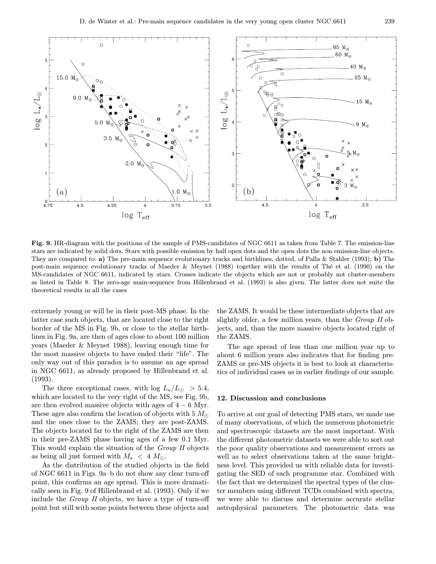

Fig. 9. HR-diagram with the positions of the sample of PMS-candidates of NGC 6611 as taken from Table 7. The emission-line stars are indicated by solid dots. Stars with possible emission by half open dots and the open dots the non emission-line objects. They are compared to: a) The pre-main sequence evolutionary tracks and birthlines, dotted, of Palla & Stahler (1993); b) The post-main sequence evolutionary tracks of Maeder & Meynet (1988) together with the results of Thé et al. (1990) on the MS-candidates of NGC 6611, indicated by stars. Crosses indicate the objects which are not or probably not cluster-members as listed in Table 8. The zero-age main-sequence from Hillenbrand et al. (1993) is also given. The latter does not suite the theoretical results in all the cases

extremely young or will be in their post-MS phase. In the latter case such objects, that are located close to the right border of the MS in Fig. 9b, or close to the stellar birthlines in Fig. 9a, are then of ages close to about 100 million years (Maeder & Meynet 1988), leaving enough time for the most massive objects to have ended their "life". The only way out of this paradox is to assume an age spread in NGC 6611, as already proposed by Hillenbrand et al. (1993).

The three exceptional cases, with  $\log L_{\star}/L_{\odot} > 5.4$ , which are located to the very right of the MS, see Fig. 9b, are then evolved massive objects with ages of  $4 - 6$  Myr. These ages also confirm the location of objects with 5  $M_{\odot}$ and the ones close to the ZAMS; they are post-ZAMS. The objects located far to the right of the ZAMS are then in their pre-ZAMS phase having ages of a few 0.1 Myr. This would explain the situation of the Group II objects as being all just formed with  $M_{\star}$  < 4  $M_{\odot}$ .

As the distribution of the studied objects in the field of NGC 6611 in Figs. 9a–b do not show any clear turn-off point, this confirms an age spread. This is more dramatically seen in Fig. 9 of Hillenbrand et al. (1993). Only if we include the Group II objects, we have a type of turn-off point but still with some points between these objects and

the ZAMS. It would be these intermediate objects that are slightly older, a few million years, than the Group II objects, and, than the more massive objects located right of the ZAMS.

The age spread of less than one million year up to about 6 million years also indicates that for finding pre-ZAMS or pre-MS objects it is best to look at characteristics of individual cases as in earlier findings of our sample.

#### 12. Discussion and conclusions

To arrive at our goal of detecting PMS stars, we made use of many observations, of which the numerous photometric and spectroscopic datasets are the most important. With the different photometric datasets we were able to sort out the poor quality observations and measurement errors as well as to select observations taken at the same brightness level. This provided us with reliable data for investigating the SED of each programme star. Combined with the fact that we determined the spectral types of the cluster members using different TCDs combined with spectra, we were able to discuss and determine accurate stellar astrophysical parameters. The photometric data was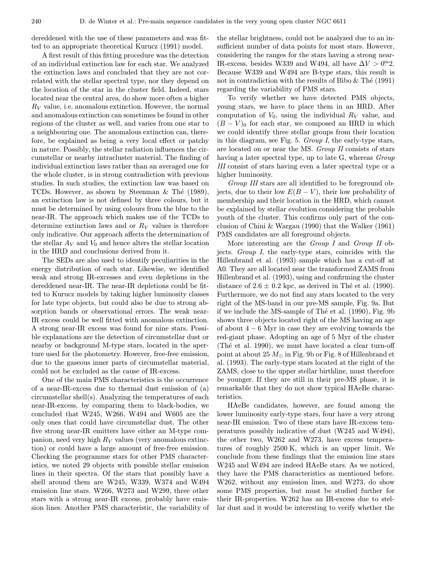dereddened with the use of these parameters and was fitted to an appropriate theoretical Kurucz (1991) model.

A first result of this fitting procedure was the detection of an individual extinction law for each star. We analyzed the extinction laws and concluded that they are not correlated with the stellar spectral type, nor they depend on the location of the star in the cluster field. Indeed, stars located near the central area, do show more often a higher  $R_V$  value, i.e. anomalous extinction. However, the normal and anomalous extinction can sometimes be found in other regions of the cluster as well, and varies from one star to a neighbouring one. The anomalous extinction can, therefore, be explained as being a very local effect or patchy in nature. Possibly, the stellar radiation influences the circumstellar or nearby intracluster material. The finding of individual extinction laws rather than an averaged one for the whole cluster, is in strong contradiction with previous studies. In such studies, the extinction law was based on TCDs. However, as shown by Steenman  $\&$  Thé (1989), an extinction law is not defined by three colours, but it must be determined by using colours from the blue to the near-IR. The approach which makes use of the TCDs to determine extinction laws and or  $R_V$  values is therefore only indicative. Our approach affects the determination of the stellar  $A_V$  and  $V_0$  and hence alters the stellar location in the HRD and conclusions derived from it.

The SEDs are also used to identify peculiarities in the energy distribution of each star. Likewise, we identified weak and strong IR-excesses and even depletions in the dereddened near-IR. The near-IR depletions could be fitted to Kurucz models by taking higher luminosity classes for late type objects, but could also be due to strong absorption bands or observational errors. The weak near-IR excess could be well fitted with anomalous extinction. A strong near-IR excess was found for nine stars. Possible explanations are the detection of circumstellar dust or nearby or background M-type stars, located in the aperture used for the photometry. However, free-free emission, due to the gaseous inner parts of circumstellar material, could not be excluded as the cause of IR-excess.

One of the main PMS characteristics is the occurrence of a near-IR-excess due to thermal dust emission of (a) circumstellar shell(s). Analyzing the temperatures of each near-IR-excess, by comparing them to black-bodies, we concluded that W245, W266, W494 and W605 are the only ones that could have circumstellar dust. The other five strong near-IR emitters have either an M-type companion, need very high  $R_V$  values (very anomalous extinction) or could have a large amount of free-free emission. Checking the programme stars for other PMS characteristics, we noted 29 objects with possible stellar emission lines in their spectra. Of the stars that possibly have a shell around them are W245, W339, W374 and W494 emission line stars. W266, W273 and W299, three other stars with a strong near-IR excess, probably have emission lines. Another PMS characteristic, the variability of

the stellar brightness, could not be analyzed due to an insufficient number of data points for most stars. However, considering the ranges for the stars having a strong near-IR-excess, besides W339 and W494, all have  $\Delta V > 0$ <sup>m</sup>2. Because W339 and W494 are B-type stars, this result is not in contradiction with the results of Bibo  $\&$  The (1991) regarding the variability of PMS stars.

To verify whether we have detected PMS objects, young stars, we have to place them in an HRD. After computation of  $V_0$ , using the individual  $R_V$  value, and  $(B - V)$ <sup>0</sup> for each star, we composed an HRD in which we could identify three stellar groups from their location in this diagram, see Fig. 5. Group I, the early-type stars, are located on or near the MS. Group II consists of stars having a later spectral type, up to late G, whereas *Group* III consist of stars having even a later spectral type or a higher luminosity.

Group III stars are all identified to be foreground objects, due to their low  $E(B-V)$ , their low probability of membership and their location in the HRD, which cannot be explained by stellar evolution considering the probable youth of the cluster. This confirms only part of the conclusion of Chini & Wargau (1990) that the Walker (1961) PMS candidates are all foreground objects.

More interesting are the *Group I* and *Group II* objects. Group I, the early-type stars, coincides with the Hillenbrand et al. (1993) sample which has a cut-off at A0. They are all located near the transformed ZAMS from Hillenbrand et al. (1993), using and confirming the cluster distance of  $2.6 \pm 0.2$  kpc, as derived in Thé et al. (1990). Furthermore, we do not find any stars located to the very right of the MS-band in our pre-MS sample, Fig. 9a. But if we include the MS-sample of The et al.  $(1990)$ , Fig. 9b shows three objects located right of the MS having an age of about 4 − 6 Myr in case they are evolving towards the red-giant phase. Adopting an age of 5 Myr of the cluster (The et al. 1990), we must have located a clear turn-off point at about 25  $M_{\odot}$  in Fig. 9b or Fig. 8 of Hillenbrand et al. (1993). The early-type stars located at the right of the ZAMS, close to the upper stellar birthline, must therefore be younger. If they are still in their pre-MS phase, it is remarkable that they do not show typical HAeBe characteristics.

HAeBe candidates, however, are found among the lower luminosity early-type stars, four have a very strong near-IR emission. Two of these stars have IR-excess temperatures possibly indicative of dust (W245 and W494), the other two, W262 and W273, have excess temperatures of roughly 2500 K, which is an upper limit. We conclude from these findings that the emission line stars W245 and W494 are indeed HAeBe stars. As we noticed, they have the PMS characteristics as mentioned before. W262, without any emission lines, and W273, do show some PMS properties, but must be studied further for their IR-properties. W262 has an IR-excess due to stellar dust and it would be interesting to verify whether the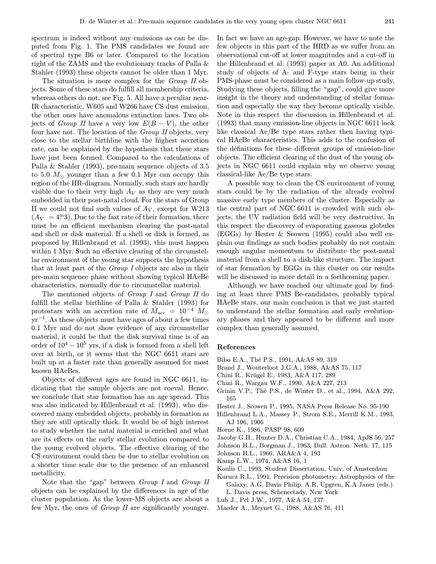spectrum is indeed without any emissions as can be disputed from Fig. 1. The PMS candidates we found are of spectral type B6 or later. Compared to the location right of the ZAMS and the evolutionary tracks of Palla & Stahler (1993) these objects cannot be older than 1 Myr.

The situation is more complex for the *Group II* objects. Some of these stars do fulfill all membership criteria, whereas others do not, see Fig. 5. All have a peculiar near-IR characteristic, W605 and W266 have CS dust emission, the other ones have anomalous extinction laws. Two objects of *Group II* have a very low  $E(B - V)$ , the other four have not. The location of the Group II objects, very close to the stellar birthline with the highest accretion rate, can be explained by the hypothesis that these stars have just been formed. Compared to the calculations of Palla & Stahler (1993), pre-main sequence objects of 3.5 to 5.0  $M_{\odot}$  younger than a few 0.1 Myr can occupy this region of the HR-diagram. Normally, such stars are hardly visible due to their very high  $A_V$  as they are very much embedded in their post-natal cloud. For the stars of Group II we could not find such values of  $A_V$ , except for W213  $(A_V = 4^{\text{m}}3)$ . Due to the fast rate of their formation, there must be an efficient mechanism clearing the post-natal and shell or disk material. If a shell or disk is formed, as proposed by Hillenbrand et al. (1993), this must happen within 1 Myr. Such an effective clearing of the circumstellar environment of the young star supports the hypothesis that at least part of the Group I objects are also in their pre-main sequence phase without showing typical HAeBe characteristics, normally due to circumstellar material.

The mentioned objects of Group I and Group II do fulfill the stellar birthline of Palla & Stahler (1993) for protostars with an accretion rate of  $\dot{M}_{\rm acc} = 10^{-4} M_{\odot}$  $yr^{-1}$ . As these objects must have ages of about a few times 0.1 Myr and do not show evidence of any circumstellar material, it could be that the disk survival time is of an order of  $10^4 - 10^5$  yrs, if a disk is formed from a shell left over at birth, or it seems that the NGC 6611 stars are built up at a faster rate than generally assumed for most known HAeBes.

Objects of different ages are found in NGC 6611, indicating that the sample objects are not coeval. Hence, we conclude that star formation has an age spread. This was also indicated by Hillenbrand et al. (1993), who discovered many embedded objects, probably in formation as they are still optically thick. It would be of high interest to study whether the natal material is enriched and what are its effects on the early stellar evolution compared to the young evolved objects. The effective clearing of the CS environment could then be due to stellar evolution on a shorter time scale due to the presence of an enhanced metallicity.

Note that the "gap" between *Group I* and *Group II* objects can be explained by the differences in age of the cluster population. As the lower-MS objects are about a few Myr, the ones of Group II are significantly younger.

In fact we have an age-gap. However, we have to note the few objects in this part of the HRD as we suffer from an observational cut-off at lower magnitudes and a cut-off in the Hillenbrand et al. (1993) paper at A0. An additional study of objects of A- and F-type stars being in their PMS-phase must be considered as a main follow-up study. Studying these objects, filling the "gap", could give more insight in the theory and understanding of stellar formation and especially the way they become optically visible. Note in this respect the discussion in Hillenbrand et al. (1993) that many emission-line objects in NGC 6611 look like classical Ae/Be type stars rather then having typical HAeBe characteristics. This adds to the confusion of the definitions for these different groups of emission-line objects. The efficient clearing of the dust of the young objects in NGC 6611 could explain why we observe young classical-like Ae/Be type stars.

A possible way to clean the CS environment of young stars could be by the radiation of the already evolved massive early type members of the cluster. Especially as the central part of NGC 6611 is crowded with such objects, the UV radiation field will be very destructive. In this respect the discovery of evaporating gaseous globules (EGGs) by Hester & Scowen (1995) could also well explain our findings as such bodies probably do not contain enough angular momentum to distribute the post-natal material from a shell to a disk-like structure. The impact of star formation by EGGs in this cluster on our results will be discussed in more detail in a forthcoming paper.

Although we have reached our ultimate goal by finding at least three PMS Be-candidates, probably typical HAeBe stars, our main conclusion is that we just started to understand the stellar formation and early evolutionary phases and they appeared to be different and more complex than generally assumed.

## References

- Bibo E.A., Thé P.S., 1991, A&AS 89, 319
- Brand J., Wouterloot J.G.A., 1988, A&AS 75, 117
- Chini R., Krügel E., 1983, A&A 117, 289
- Chini R., Wargau W.F., 1990, A&A 227, 213
- Grinin V.P., Thé P.S., de Winter D., et al., 1994, A&A 292, 165
- Hester J., Scowen P., 1995, NASA Press Release No. 95-190
- Hillenbrand L.A., Massey P., Strom S.E., Merrill K.M., 1993, AJ 106, 1906
- Horne K., 1986, PASP 98, 609
- Jacoby G.H., Hunter D.A., Christian C.A., 1984, ApJS 56, 257
- Johnson H.L., Borgman J., 1963, Bull. Astron. Neth. 17, 115
- Johnson H.L., 1966, ARA&A 4, 193
- Kamp L.W., 1974, A&AS 16, 1
- Koulis C., 1993, Student Dissertation, Univ. of Amsterdam
- Kurucz R.L., 1991, Precision photometry; Astrophysics of the Galaxy, A.G. Davis Philip, A.R. Upgren, K.A Janes (eds.). L. Davis press, Schenectady, New York
- Lub J., Pel J.W., 1977, A&A 54, 137
- Maeder A., Meynet G., 1988, A&AS 76, 411